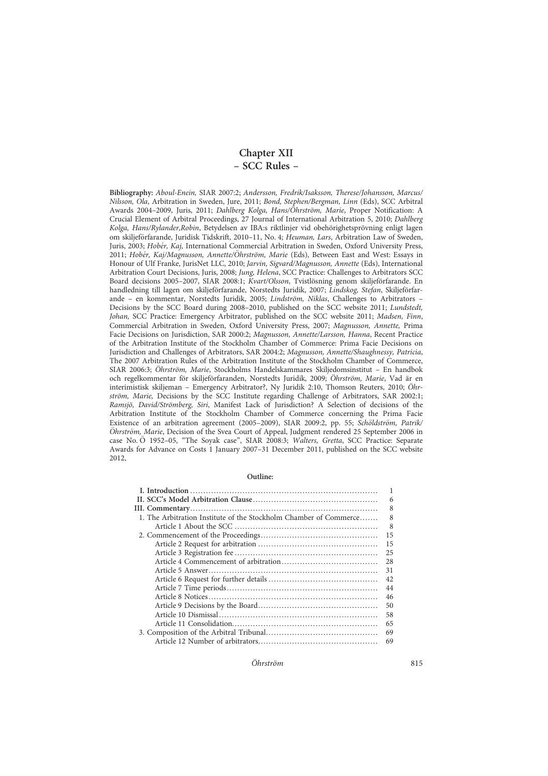Chapter XII – SCC Rules –

Bibliography: Aboul-Enein, SIAR 2007:2; Andersson, Fredrik/Isaksson, Therese/Johansson, Marcus/ Nilsson, Ola, Arbitration in Sweden, Jure, 2011; Bond, Stephen/Bergman, Linn (Eds), SCC Arbitral Awards 2004–2009, Juris, 2011; Dahlberg Kolga, Hans/Öhrström, Marie, Proper Notification: A Crucial Element of Arbitral Proceedings, 27 Journal of International Arbitration 5, 2010; Dahlberg Kolga, Hans/Rylander,Robin, Betydelsen av IBA:s riktlinjer vid obehörighetsprövning enligt lagen om skiljeförfarande, Juridisk Tidskrift, 2010-11, No. 4; Heuman, Lars, Arbitration Law of Sweden, Juris, 2003; Hobér, Kaj, International Commercial Arbitration in Sweden, Oxford University Press, 2011; Hobér, Kaj/Magnusson, Annette/Öhrström, Marie (Eds), Between East and West: Essays in Honour of Ulf Franke, JurisNet LLC, 2010; Jarvin, Sigvard/Magnusson, Annette (Eds), International Arbitration Court Decisions, Juris, 2008; Jung, Helena, SCC Practice: Challenges to Arbitrators SCC Board decisions 2005–2007, SIAR 2008:1; Kvart/Olsson, Tvistlösning genom skiljeförfarande. En handledning till lagen om skiljeförfarande, Norstedts Juridik, 2007; Lindskog, Stefan, Skiljeförfarande – en kommentar, Norstedts Juridik, 2005; Lindström, Niklas, Challenges to Arbitrators – Decisions by the SCC Board during 2008–2010, published on the SCC website 2011; Lundstedt, Johan, SCC Practice: Emergency Arbitrator, published on the SCC website 2011; Madsen, Finn, Commercial Arbitration in Sweden, Oxford University Press, 2007; Magnusson, Annette, Prima Facie Decisions on Jurisdiction, SAR 2000:2; Magnusson, Annette/Larsson, Hanna, Recent Practice of the Arbitration Institute of the Stockholm Chamber of Commerce: Prima Facie Decisions on Jurisdiction and Challenges of Arbitrators, SAR 2004:2; Magnusson, Annette/Shaughnessy, Patricia, The 2007 Arbitration Rules of the Arbitration Institute of the Stockholm Chamber of Commerce, SIAR 2006:3; Öhrström, Marie, Stockholms Handelskammares Skiljedomsinstitut - En handbok och regelkommentar för skiljeförfaranden, Norstedts Juridik, 2009; Öhrström, Marie, Vad är en interimistisk skiljeman - Emergency Arbitrator?, Ny Juridik 2:10, Thomson Reuters, 2010; Öhrström, Marie, Decisions by the SCC Institute regarding Challenge of Arbitrators, SAR 2002:1; Ramsjö, David/Strömberg, Siri, Manifest Lack of Jurisdiction? A Selection of decisions of the Arbitration Institute of the Stockholm Chamber of Commerce concerning the Prima Facie Existence of an arbitration agreement (2005-2009), SIAR 2009:2, pp. 55; Schöldström, Patrik/ Öhrström, Marie, Decision of the Svea Court of Appeal, Judgment rendered 25 September 2006 in case No. Ö 1952-05, "The Soyak case", SIAR 2008:3; Walters, Gretta, SCC Practice: Separate Awards for Advance on Costs 1 January 2007–31 December 2011, published on the SCC website 2012,

#### Outline:

| 6                                                                 |
|-------------------------------------------------------------------|
| 8                                                                 |
| 8                                                                 |
| 8                                                                 |
| 15                                                                |
| 15                                                                |
| 25                                                                |
| 28                                                                |
| 31                                                                |
| 42                                                                |
| 44                                                                |
| 46                                                                |
| 50                                                                |
| 58                                                                |
| 65                                                                |
| 69                                                                |
| 69                                                                |
| 1. The Arbitration Institute of the Stockholm Chamber of Commerce |

O¨ hrstro¨m 815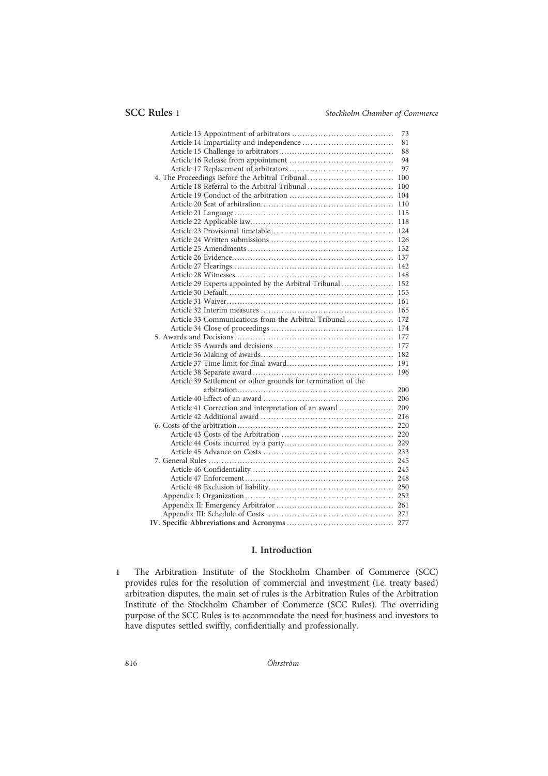|                                                               | 73 |
|---------------------------------------------------------------|----|
|                                                               | 81 |
|                                                               | 88 |
|                                                               | 94 |
|                                                               | 97 |
|                                                               |    |
|                                                               |    |
|                                                               |    |
|                                                               |    |
|                                                               |    |
|                                                               |    |
|                                                               |    |
|                                                               |    |
|                                                               |    |
|                                                               |    |
|                                                               |    |
|                                                               |    |
| Article 29 Experts appointed by the Arbitral Tribunal  152    |    |
|                                                               |    |
|                                                               |    |
|                                                               |    |
| Article 33 Communications from the Arbitral Tribunal  172     |    |
|                                                               |    |
|                                                               |    |
|                                                               |    |
|                                                               |    |
|                                                               |    |
|                                                               |    |
| Article 39 Settlement or other grounds for termination of the |    |
|                                                               |    |
|                                                               |    |
| Article 41 Correction and interpretation of an award 209      |    |
|                                                               |    |
|                                                               |    |
|                                                               |    |
|                                                               |    |
|                                                               |    |
|                                                               |    |
|                                                               |    |
|                                                               |    |
|                                                               |    |
|                                                               |    |
|                                                               |    |
|                                                               |    |
|                                                               |    |
|                                                               |    |

# I. Introduction

1 The Arbitration Institute of the Stockholm Chamber of Commerce (SCC) provides rules for the resolution of commercial and investment (i.e. treaty based) arbitration disputes, the main set of rules is the Arbitration Rules of the Arbitration Institute of the Stockholm Chamber of Commerce (SCC Rules). The overriding purpose of the SCC Rules is to accommodate the need for business and investors to have disputes settled swiftly, confidentially and professionally.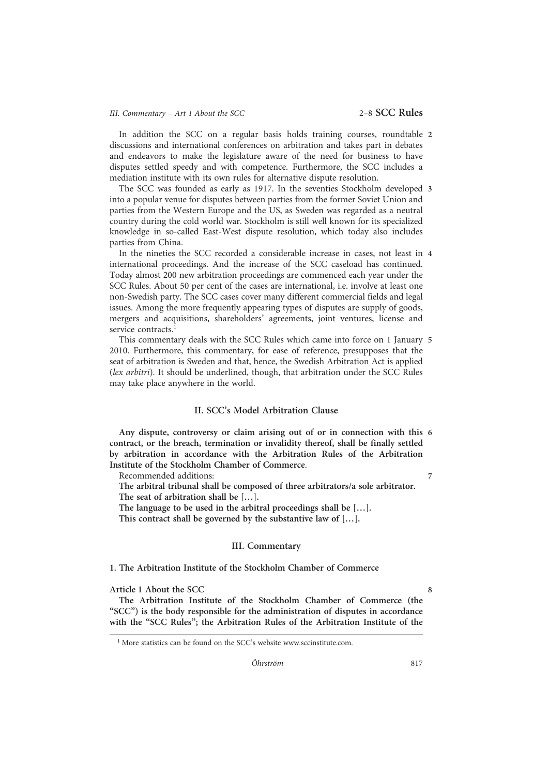In addition the SCC on a regular basis holds training courses, roundtable 2 discussions and international conferences on arbitration and takes part in debates and endeavors to make the legislature aware of the need for business to have disputes settled speedy and with competence. Furthermore, the SCC includes a mediation institute with its own rules for alternative dispute resolution.

The SCC was founded as early as 1917. In the seventies Stockholm developed 3 into a popular venue for disputes between parties from the former Soviet Union and parties from the Western Europe and the US, as Sweden was regarded as a neutral country during the cold world war. Stockholm is still well known for its specialized knowledge in so-called East-West dispute resolution, which today also includes parties from China.

In the nineties the SCC recorded a considerable increase in cases, not least in 4 international proceedings. And the increase of the SCC caseload has continued. Today almost 200 new arbitration proceedings are commenced each year under the SCC Rules. About 50 per cent of the cases are international, i.e. involve at least one non-Swedish party. The SCC cases cover many different commercial fields and legal issues. Among the more frequently appearing types of disputes are supply of goods, mergers and acquisitions, shareholders' agreements, joint ventures, license and service contracts.<sup>1</sup>

This commentary deals with the SCC Rules which came into force on 1 January 5 2010. Furthermore, this commentary, for ease of reference, presupposes that the seat of arbitration is Sweden and that, hence, the Swedish Arbitration Act is applied (lex arbitri). It should be underlined, though, that arbitration under the SCC Rules may take place anywhere in the world.

# II. SCC's Model Arbitration Clause

Any dispute, controversy or claim arising out of or in connection with this 6 contract, or the breach, termination or invalidity thereof, shall be finally settled by arbitration in accordance with the Arbitration Rules of the Arbitration Institute of the Stockholm Chamber of Commerce.

Recommended additions: 7 7

The arbitral tribunal shall be composed of three arbitrators/a sole arbitrator. The seat of arbitration shall be […].

The language to be used in the arbitral proceedings shall be […].

This contract shall be governed by the substantive law of […].

# III. Commentary

#### 1. The Arbitration Institute of the Stockholm Chamber of Commerce

Article 1 About the SCC 8

The Arbitration Institute of the Stockholm Chamber of Commerce (the "SCC") is the body responsible for the administration of disputes in accordance with the "SCC Rules"; the Arbitration Rules of the Arbitration Institute of the

 $<sup>1</sup>$  More statistics can be found on the SCC's website www.sccinstitute.com.</sup>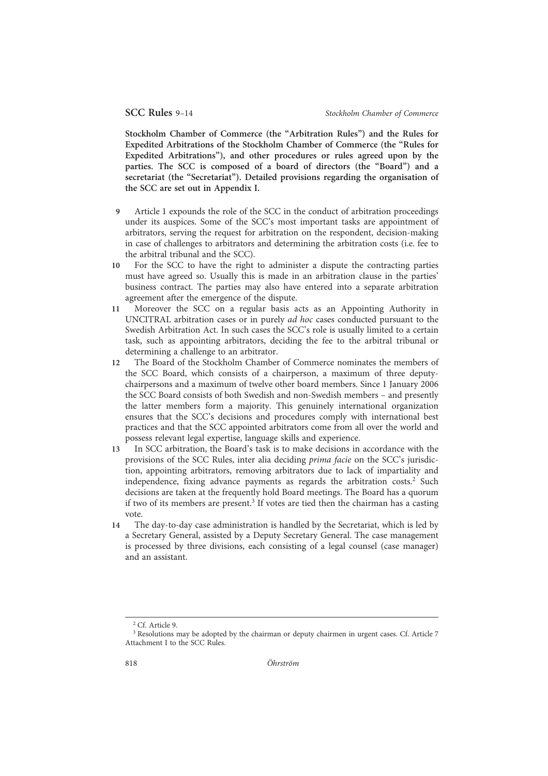Stockholm Chamber of Commerce (the "Arbitration Rules") and the Rules for Expedited Arbitrations of the Stockholm Chamber of Commerce (the "Rules for Expedited Arbitrations"), and other procedures or rules agreed upon by the parties. The SCC is composed of a board of directors (the "Board") and a secretariat (the "Secretariat"). Detailed provisions regarding the organisation of the SCC are set out in Appendix I.

- 9 Article 1 expounds the role of the SCC in the conduct of arbitration proceedings under its auspices. Some of the SCC's most important tasks are appointment of arbitrators, serving the request for arbitration on the respondent, decision-making in case of challenges to arbitrators and determining the arbitration costs (i.e. fee to the arbitral tribunal and the SCC).
- 10 For the SCC to have the right to administer a dispute the contracting parties must have agreed so. Usually this is made in an arbitration clause in the parties' business contract. The parties may also have entered into a separate arbitration agreement after the emergence of the dispute.
- 11 Moreover the SCC on a regular basis acts as an Appointing Authority in UNCITRAL arbitration cases or in purely ad hoc cases conducted pursuant to the Swedish Arbitration Act. In such cases the SCC's role is usually limited to a certain task, such as appointing arbitrators, deciding the fee to the arbitral tribunal or determining a challenge to an arbitrator.
- 12 The Board of the Stockholm Chamber of Commerce nominates the members of the SCC Board, which consists of a chairperson, a maximum of three deputychairpersons and a maximum of twelve other board members. Since 1 January 2006 the SCC Board consists of both Swedish and non-Swedish members – and presently the latter members form a majority. This genuinely international organization ensures that the SCC's decisions and procedures comply with international best practices and that the SCC appointed arbitrators come from all over the world and possess relevant legal expertise, language skills and experience.
- 13 In SCC arbitration, the Board's task is to make decisions in accordance with the provisions of the SCC Rules, inter alia deciding prima facie on the SCC's jurisdiction, appointing arbitrators, removing arbitrators due to lack of impartiality and independence, fixing advance payments as regards the arbitration costs.<sup>2</sup> Such decisions are taken at the frequently hold Board meetings. The Board has a quorum if two of its members are present.<sup>3</sup> If votes are tied then the chairman has a casting vote.
- 14 The day-to-day case administration is handled by the Secretariat, which is led by a Secretary General, assisted by a Deputy Secretary General. The case management is processed by three divisions, each consisting of a legal counsel (case manager) and an assistant.

<sup>2</sup> Cf. Article 9.

<sup>&</sup>lt;sup>3</sup> Resolutions may be adopted by the chairman or deputy chairmen in urgent cases. Cf. Article 7 Attachment I to the SCC Rules.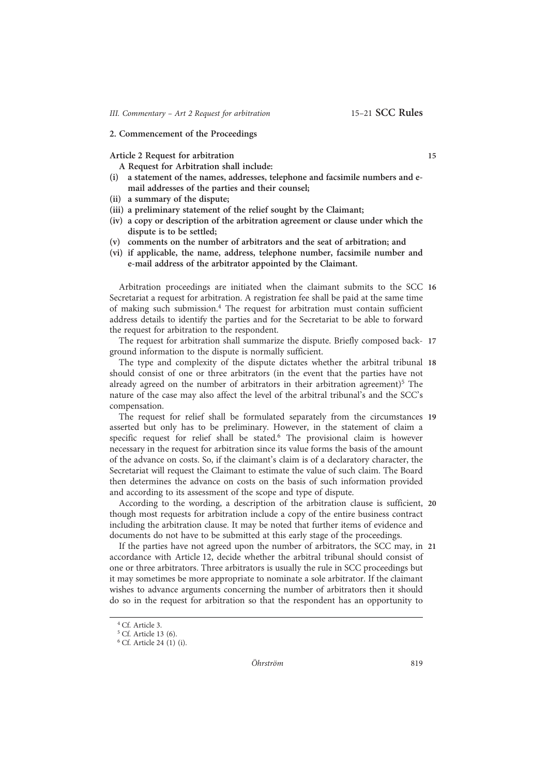#### 2. Commencement of the Proceedings

Article 2 Request for arbitration 15

A Request for Arbitration shall include:

- (i) a statement of the names, addresses, telephone and facsimile numbers and email addresses of the parties and their counsel;
- (ii) a summary of the dispute;
- (iii) a preliminary statement of the relief sought by the Claimant;
- (iv) a copy or description of the arbitration agreement or clause under which the dispute is to be settled;
- (v) comments on the number of arbitrators and the seat of arbitration; and
- (vi) if applicable, the name, address, telephone number, facsimile number and e-mail address of the arbitrator appointed by the Claimant.

Arbitration proceedings are initiated when the claimant submits to the SCC 16 Secretariat a request for arbitration. A registration fee shall be paid at the same time of making such submission.4 The request for arbitration must contain sufficient address details to identify the parties and for the Secretariat to be able to forward the request for arbitration to the respondent.

The request for arbitration shall summarize the dispute. Briefly composed back- 17 ground information to the dispute is normally sufficient.

The type and complexity of the dispute dictates whether the arbitral tribunal 18 should consist of one or three arbitrators (in the event that the parties have not already agreed on the number of arbitrators in their arbitration agreement)<sup>5</sup> The nature of the case may also affect the level of the arbitral tribunal's and the SCC's compensation.

The request for relief shall be formulated separately from the circumstances 19 asserted but only has to be preliminary. However, in the statement of claim a specific request for relief shall be stated.<sup>6</sup> The provisional claim is however necessary in the request for arbitration since its value forms the basis of the amount of the advance on costs. So, if the claimant's claim is of a declaratory character, the Secretariat will request the Claimant to estimate the value of such claim. The Board then determines the advance on costs on the basis of such information provided and according to its assessment of the scope and type of dispute.

According to the wording, a description of the arbitration clause is sufficient, 20 though most requests for arbitration include a copy of the entire business contract including the arbitration clause. It may be noted that further items of evidence and documents do not have to be submitted at this early stage of the proceedings.

If the parties have not agreed upon the number of arbitrators, the SCC may, in 21 accordance with Article 12, decide whether the arbitral tribunal should consist of one or three arbitrators. Three arbitrators is usually the rule in SCC proceedings but it may sometimes be more appropriate to nominate a sole arbitrator. If the claimant wishes to advance arguments concerning the number of arbitrators then it should do so in the request for arbitration so that the respondent has an opportunity to

<sup>4</sup> Cf. Article 3.

<sup>5</sup> Cf. Article 13 (6).

<sup>6</sup> Cf. Article 24 (1) (i).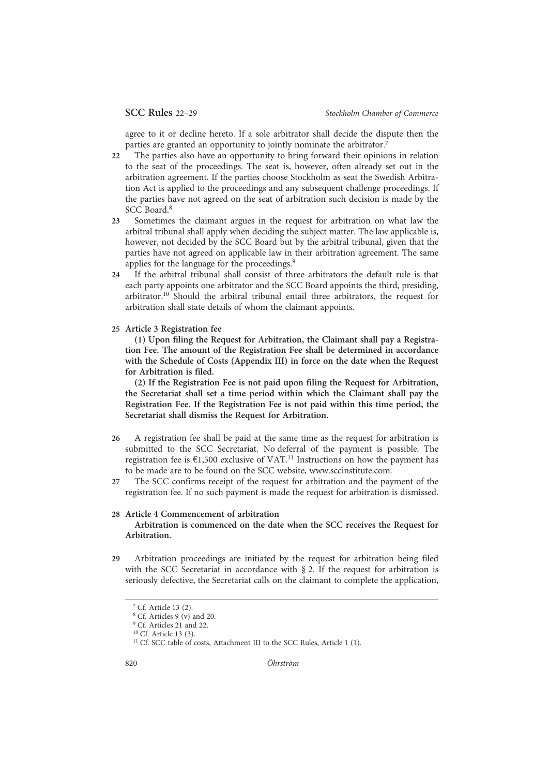agree to it or decline hereto. If a sole arbitrator shall decide the dispute then the parties are granted an opportunity to jointly nominate the arbitrator.<sup>7</sup>

- 22 The parties also have an opportunity to bring forward their opinions in relation to the seat of the proceedings. The seat is, however, often already set out in the arbitration agreement. If the parties choose Stockholm as seat the Swedish Arbitration Act is applied to the proceedings and any subsequent challenge proceedings. If the parties have not agreed on the seat of arbitration such decision is made by the SCC Board<sup>8</sup>
- 23 Sometimes the claimant argues in the request for arbitration on what law the arbitral tribunal shall apply when deciding the subject matter. The law applicable is, however, not decided by the SCC Board but by the arbitral tribunal, given that the parties have not agreed on applicable law in their arbitration agreement. The same applies for the language for the proceedings.<sup>9</sup>
- 24 If the arbitral tribunal shall consist of three arbitrators the default rule is that each party appoints one arbitrator and the SCC Board appoints the third, presiding, arbitrator.10 Should the arbitral tribunal entail three arbitrators, the request for arbitration shall state details of whom the claimant appoints.
- 25 Article 3 Registration fee

(1) Upon filing the Request for Arbitration, the Claimant shall pay a Registration Fee. The amount of the Registration Fee shall be determined in accordance with the Schedule of Costs (Appendix III) in force on the date when the Request for Arbitration is filed.

(2) If the Registration Fee is not paid upon filing the Request for Arbitration, the Secretariat shall set a time period within which the Claimant shall pay the Registration Fee. If the Registration Fee is not paid within this time period, the Secretariat shall dismiss the Request for Arbitration.

- 26 A registration fee shall be paid at the same time as the request for arbitration is submitted to the SCC Secretariat. No deferral of the payment is possible. The registration fee is  $\epsilon$ 1,500 exclusive of VAT.<sup>11</sup> Instructions on how the payment has to be made are to be found on the SCC website, www.sccinstitute.com.
- 27 The SCC confirms receipt of the request for arbitration and the payment of the registration fee. If no such payment is made the request for arbitration is dismissed.

#### 28 Article 4 Commencement of arbitration

Arbitration is commenced on the date when the SCC receives the Request for Arbitration.

29 Arbitration proceedings are initiated by the request for arbitration being filed with the SCC Secretariat in accordance with § 2. If the request for arbitration is seriously defective, the Secretariat calls on the claimant to complete the application,

<sup>7</sup> Cf. Article 13 (2).

<sup>8</sup> Cf. Articles 9 (v) and 20.

<sup>&</sup>lt;sup>9</sup> Cf. Articles 21 and 22.

<sup>&</sup>lt;sup>10</sup> Cf. Article 13 (3).

 $11$  Cf. SCC table of costs, Attachment III to the SCC Rules, Article 1 (1).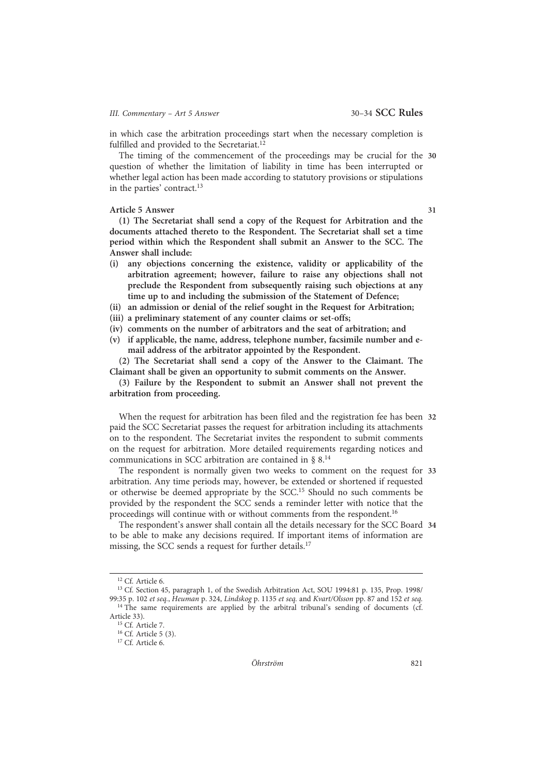in which case the arbitration proceedings start when the necessary completion is fulfilled and provided to the Secretariat.<sup>12</sup>

The timing of the commencement of the proceedings may be crucial for the 30 question of whether the limitation of liability in time has been interrupted or whether legal action has been made according to statutory provisions or stipulations in the parties' contract.13

#### Article 5 Answer 31

(1) The Secretariat shall send a copy of the Request for Arbitration and the documents attached thereto to the Respondent. The Secretariat shall set a time period within which the Respondent shall submit an Answer to the SCC. The Answer shall include:

- (i) any objections concerning the existence, validity or applicability of the arbitration agreement; however, failure to raise any objections shall not preclude the Respondent from subsequently raising such objections at any time up to and including the submission of the Statement of Defence;
- (ii) an admission or denial of the relief sought in the Request for Arbitration;
- (iii) a preliminary statement of any counter claims or set-offs;
- (iv) comments on the number of arbitrators and the seat of arbitration; and
- (v) if applicable, the name, address, telephone number, facsimile number and email address of the arbitrator appointed by the Respondent.

(2) The Secretariat shall send a copy of the Answer to the Claimant. The Claimant shall be given an opportunity to submit comments on the Answer.

(3) Failure by the Respondent to submit an Answer shall not prevent the arbitration from proceeding.

When the request for arbitration has been filed and the registration fee has been 32 paid the SCC Secretariat passes the request for arbitration including its attachments on to the respondent. The Secretariat invites the respondent to submit comments on the request for arbitration. More detailed requirements regarding notices and communications in SCC arbitration are contained in § 8.14

The respondent is normally given two weeks to comment on the request for 33 arbitration. Any time periods may, however, be extended or shortened if requested or otherwise be deemed appropriate by the SCC.15 Should no such comments be provided by the respondent the SCC sends a reminder letter with notice that the proceedings will continue with or without comments from the respondent.<sup>16</sup>

The respondent's answer shall contain all the details necessary for the SCC Board 34 to be able to make any decisions required. If important items of information are missing, the SCC sends a request for further details.<sup>17</sup>

<sup>12</sup> Cf. Article 6.

<sup>13</sup> Cf. Section 45, paragraph 1, of the Swedish Arbitration Act, SOU 1994:81 p. 135, Prop. 1998/ 99:35 p. 102 et seq., Heuman p. 324, Lindskog p. 1135 et seq. and Kvart/Olsson pp. 87 and 152 et seq. <sup>14</sup> The same requirements are applied by the arbitral tribunal's sending of documents (cf. Article 33).

<sup>&</sup>lt;sup>15</sup> Cf. Article 7 <sup>16</sup> Cf. Article 5 (3).

<sup>&</sup>lt;sup>17</sup> Cf. Article 6.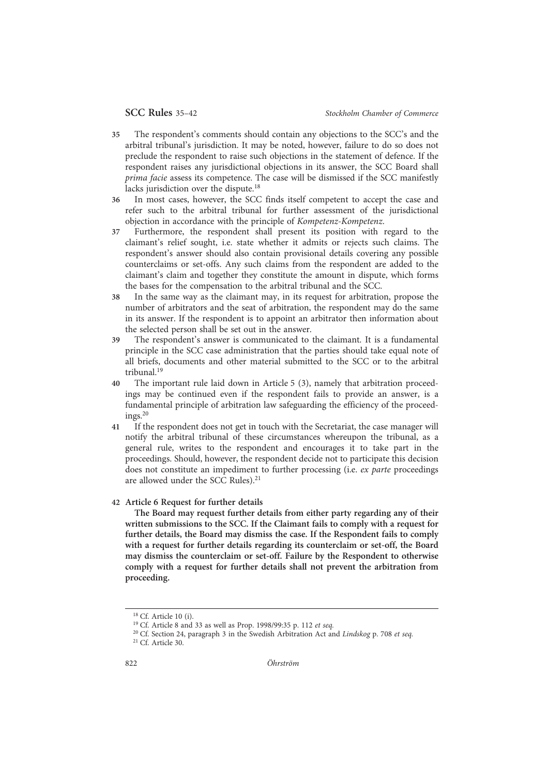- 35 The respondent's comments should contain any objections to the SCC's and the arbitral tribunal's jurisdiction. It may be noted, however, failure to do so does not preclude the respondent to raise such objections in the statement of defence. If the respondent raises any jurisdictional objections in its answer, the SCC Board shall prima facie assess its competence. The case will be dismissed if the SCC manifestly lacks jurisdiction over the dispute.<sup>18</sup>
- 36 In most cases, however, the SCC finds itself competent to accept the case and refer such to the arbitral tribunal for further assessment of the jurisdictional objection in accordance with the principle of Kompetenz-Kompetenz.
- 37 Furthermore, the respondent shall present its position with regard to the claimant's relief sought, i.e. state whether it admits or rejects such claims. The respondent's answer should also contain provisional details covering any possible counterclaims or set-offs. Any such claims from the respondent are added to the claimant's claim and together they constitute the amount in dispute, which forms the bases for the compensation to the arbitral tribunal and the SCC.
- 38 In the same way as the claimant may, in its request for arbitration, propose the number of arbitrators and the seat of arbitration, the respondent may do the same in its answer. If the respondent is to appoint an arbitrator then information about the selected person shall be set out in the answer.
- 39 The respondent's answer is communicated to the claimant. It is a fundamental principle in the SCC case administration that the parties should take equal note of all briefs, documents and other material submitted to the SCC or to the arbitral tribunal.19
- 40 The important rule laid down in Article 5 (3), namely that arbitration proceedings may be continued even if the respondent fails to provide an answer, is a fundamental principle of arbitration law safeguarding the efficiency of the proceed $ings.<sup>20</sup>$
- 41 If the respondent does not get in touch with the Secretariat, the case manager will notify the arbitral tribunal of these circumstances whereupon the tribunal, as a general rule, writes to the respondent and encourages it to take part in the proceedings. Should, however, the respondent decide not to participate this decision does not constitute an impediment to further processing (i.e. ex parte proceedings are allowed under the SCC Rules).<sup>21</sup>

# 42 Article 6 Request for further details

The Board may request further details from either party regarding any of their written submissions to the SCC. If the Claimant fails to comply with a request for further details, the Board may dismiss the case. If the Respondent fails to comply with a request for further details regarding its counterclaim or set-off, the Board may dismiss the counterclaim or set-off. Failure by the Respondent to otherwise comply with a request for further details shall not prevent the arbitration from proceeding.

<sup>18</sup> Cf. Article 10 (i).

<sup>19</sup> Cf. Article 8 and 33 as well as Prop. 1998/99:35 p. 112 et seq.

<sup>&</sup>lt;sup>20</sup> Cf. Section 24, paragraph 3 in the Swedish Arbitration Act and Lindskog p. 708 et seq.

<sup>21</sup> Cf. Article 30.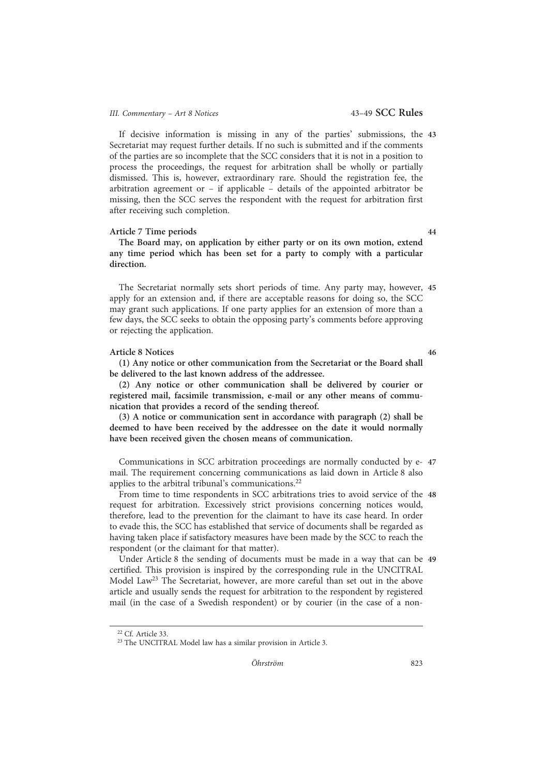# III. Commentary - Art 8 Notices 43-49 SCC Rules

If decisive information is missing in any of the parties' submissions, the 43 Secretariat may request further details. If no such is submitted and if the comments of the parties are so incomplete that the SCC considers that it is not in a position to process the proceedings, the request for arbitration shall be wholly or partially dismissed. This is, however, extraordinary rare. Should the registration fee, the arbitration agreement or – if applicable – details of the appointed arbitrator be missing, then the SCC serves the respondent with the request for arbitration first after receiving such completion.

#### Article 7 Time periods 44

The Board may, on application by either party or on its own motion, extend any time period which has been set for a party to comply with a particular direction.

The Secretariat normally sets short periods of time. Any party may, however, 45 apply for an extension and, if there are acceptable reasons for doing so, the SCC may grant such applications. If one party applies for an extension of more than a few days, the SCC seeks to obtain the opposing party's comments before approving or rejecting the application.

#### Article 8 Notices 46

(1) Any notice or other communication from the Secretariat or the Board shall be delivered to the last known address of the addressee.

(2) Any notice or other communication shall be delivered by courier or registered mail, facsimile transmission, e-mail or any other means of communication that provides a record of the sending thereof.

(3) A notice or communication sent in accordance with paragraph (2) shall be deemed to have been received by the addressee on the date it would normally have been received given the chosen means of communication.

Communications in SCC arbitration proceedings are normally conducted by e- 47 mail. The requirement concerning communications as laid down in Article 8 also applies to the arbitral tribunal's communications.<sup>22</sup>

From time to time respondents in SCC arbitrations tries to avoid service of the 48 request for arbitration. Excessively strict provisions concerning notices would, therefore, lead to the prevention for the claimant to have its case heard. In order to evade this, the SCC has established that service of documents shall be regarded as having taken place if satisfactory measures have been made by the SCC to reach the respondent (or the claimant for that matter).

Under Article 8 the sending of documents must be made in a way that can be 49 certified. This provision is inspired by the corresponding rule in the UNCITRAL Model Law23 The Secretariat, however, are more careful than set out in the above article and usually sends the request for arbitration to the respondent by registered mail (in the case of a Swedish respondent) or by courier (in the case of a non-

<sup>22</sup> Cf. Article 33.

<sup>23</sup> The UNCITRAL Model law has a similar provision in Article 3.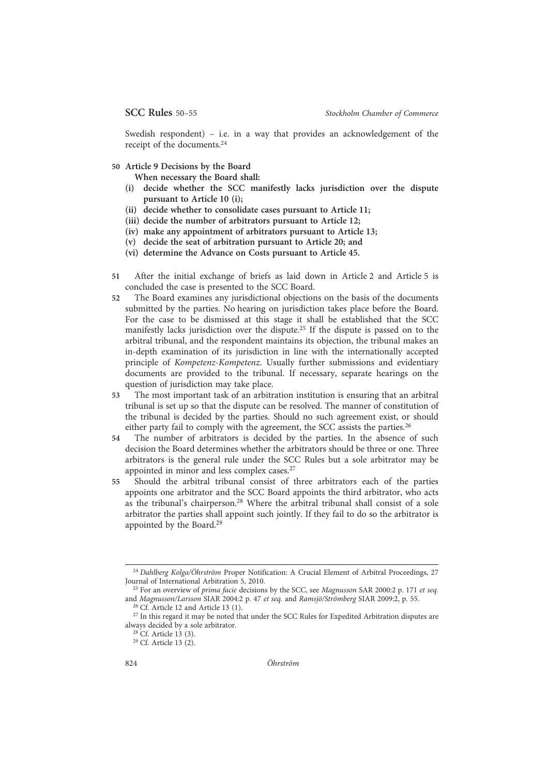Swedish respondent) – i.e. in a way that provides an acknowledgement of the receipt of the documents.24

50 Article 9 Decisions by the Board

When necessary the Board shall:

- (i) decide whether the SCC manifestly lacks jurisdiction over the dispute pursuant to Article 10 (i);
- (ii) decide whether to consolidate cases pursuant to Article 11;
- (iii) decide the number of arbitrators pursuant to Article 12;
- (iv) make any appointment of arbitrators pursuant to Article 13;
- (v) decide the seat of arbitration pursuant to Article 20; and
- (vi) determine the Advance on Costs pursuant to Article 45.
- 51 After the initial exchange of briefs as laid down in Article 2 and Article 5 is concluded the case is presented to the SCC Board.
- 52 The Board examines any jurisdictional objections on the basis of the documents submitted by the parties. No hearing on jurisdiction takes place before the Board. For the case to be dismissed at this stage it shall be established that the SCC manifestly lacks jurisdiction over the dispute.25 If the dispute is passed on to the arbitral tribunal, and the respondent maintains its objection, the tribunal makes an in-depth examination of its jurisdiction in line with the internationally accepted principle of Kompetenz-Kompetenz. Usually further submissions and evidentiary documents are provided to the tribunal. If necessary, separate hearings on the question of jurisdiction may take place.
- 53 The most important task of an arbitration institution is ensuring that an arbitral tribunal is set up so that the dispute can be resolved. The manner of constitution of the tribunal is decided by the parties. Should no such agreement exist, or should either party fail to comply with the agreement, the SCC assists the parties.<sup>26</sup>
- 54 The number of arbitrators is decided by the parties. In the absence of such decision the Board determines whether the arbitrators should be three or one. Three arbitrators is the general rule under the SCC Rules but a sole arbitrator may be appointed in minor and less complex cases.27
- 55 Should the arbitral tribunal consist of three arbitrators each of the parties appoints one arbitrator and the SCC Board appoints the third arbitrator, who acts as the tribunal's chairperson.28 Where the arbitral tribunal shall consist of a sole arbitrator the parties shall appoint such jointly. If they fail to do so the arbitrator is appointed by the Board.29

<sup>&</sup>lt;sup>24</sup> Dahlberg Kolga/Öhrström Proper Notification: A Crucial Element of Arbitral Proceedings, 27 Journal of International Arbitration 5, 2010.

 $^{25}$  For an overview of prima facie decisions by the SCC, see Magnusson SAR 2000:2 p. 171 et seq. and Magnusson/Larsson SIAR 2004:2 p. 47 et seq. and Ramsjö/Strömberg SIAR 2009:2, p. 55.

<sup>26</sup> Cf. Article 12 and Article 13 (1).

<sup>&</sup>lt;sup>27</sup> In this regard it may be noted that under the SCC Rules for Expedited Arbitration disputes are always decided by a sole arbitrator.

<sup>28</sup> Cf. Article 13 (3).

<sup>29</sup> Cf. Article 13 (2).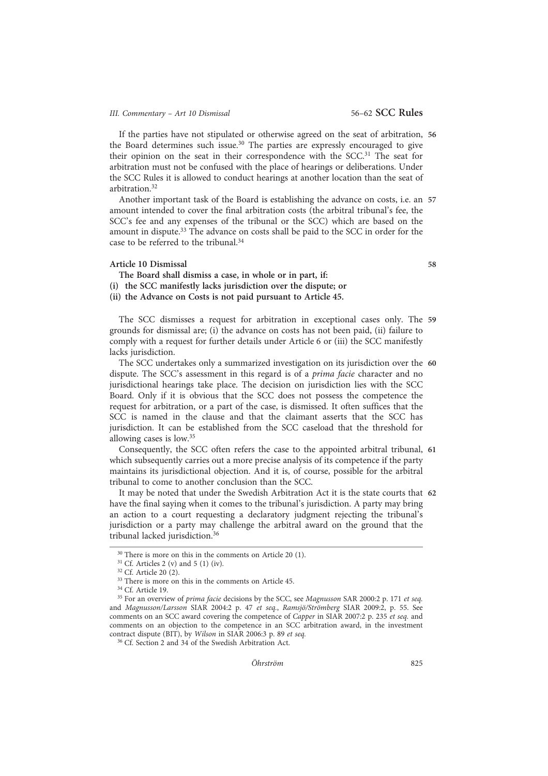If the parties have not stipulated or otherwise agreed on the seat of arbitration, 56 the Board determines such issue.<sup>30</sup> The parties are expressly encouraged to give their opinion on the seat in their correspondence with the SCC.<sup>31</sup> The seat for arbitration must not be confused with the place of hearings or deliberations. Under the SCC Rules it is allowed to conduct hearings at another location than the seat of arbitration.32

Another important task of the Board is establishing the advance on costs, i.e. an 57 amount intended to cover the final arbitration costs (the arbitral tribunal's fee, the SCC's fee and any expenses of the tribunal or the SCC) which are based on the amount in dispute.<sup>33</sup> The advance on costs shall be paid to the SCC in order for the case to be referred to the tribunal.34

#### Article 10 Dismissal 58

The Board shall dismiss a case, in whole or in part, if: (i) the SCC manifestly lacks jurisdiction over the dispute; or (ii) the Advance on Costs is not paid pursuant to Article 45.

The SCC dismisses a request for arbitration in exceptional cases only. The 59 grounds for dismissal are; (i) the advance on costs has not been paid, (ii) failure to comply with a request for further details under Article 6 or (iii) the SCC manifestly lacks jurisdiction.

The SCC undertakes only a summarized investigation on its jurisdiction over the 60 dispute. The SCC's assessment in this regard is of a *prima facie* character and no jurisdictional hearings take place. The decision on jurisdiction lies with the SCC Board. Only if it is obvious that the SCC does not possess the competence the request for arbitration, or a part of the case, is dismissed. It often suffices that the SCC is named in the clause and that the claimant asserts that the SCC has jurisdiction. It can be established from the SCC caseload that the threshold for allowing cases is low.35

Consequently, the SCC often refers the case to the appointed arbitral tribunal, 61 which subsequently carries out a more precise analysis of its competence if the party maintains its jurisdictional objection. And it is, of course, possible for the arbitral tribunal to come to another conclusion than the SCC.

It may be noted that under the Swedish Arbitration Act it is the state courts that 62 have the final saying when it comes to the tribunal's jurisdiction. A party may bring an action to a court requesting a declaratory judgment rejecting the tribunal's jurisdiction or a party may challenge the arbitral award on the ground that the tribunal lacked jurisdiction.36

<sup>&</sup>lt;sup>30</sup> There is more on this in the comments on Article 20 (1).

 $31$  Cf. Articles 2 (v) and 5 (1) (iv).

<sup>32</sup> Cf. Article 20 (2).

<sup>&</sup>lt;sup>33</sup> There is more on this in the comments on Article 45.

<sup>34</sup> Cf. Article 19.

<sup>&</sup>lt;sup>35</sup> For an overview of prima facie decisions by the SCC, see Magnusson SAR 2000:2 p. 171 et seq. and Magnusson/Larsson SIAR 2004:2 p. 47 et seq., Ramsjö/Strömberg SIAR 2009:2, p. 55. See comments on an SCC award covering the competence of Capper in SIAR 2007:2 p. 235 et seq. and comments on an objection to the competence in an SCC arbitration award, in the investment contract dispute (BIT), by Wilson in SIAR 2006:3 p. 89 et seq.

<sup>36</sup> Cf. Section 2 and 34 of the Swedish Arbitration Act.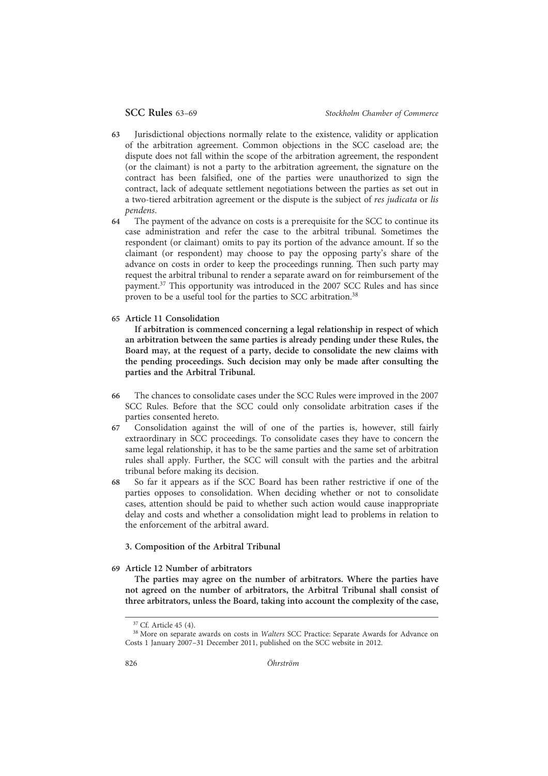- 63 Jurisdictional objections normally relate to the existence, validity or application of the arbitration agreement. Common objections in the SCC caseload are; the dispute does not fall within the scope of the arbitration agreement, the respondent (or the claimant) is not a party to the arbitration agreement, the signature on the contract has been falsified, one of the parties were unauthorized to sign the contract, lack of adequate settlement negotiations between the parties as set out in a two-tiered arbitration agreement or the dispute is the subject of res judicata or lis pendens.
- 64 The payment of the advance on costs is a prerequisite for the SCC to continue its case administration and refer the case to the arbitral tribunal. Sometimes the respondent (or claimant) omits to pay its portion of the advance amount. If so the claimant (or respondent) may choose to pay the opposing party's share of the advance on costs in order to keep the proceedings running. Then such party may request the arbitral tribunal to render a separate award on for reimbursement of the payment.37 This opportunity was introduced in the 2007 SCC Rules and has since proven to be a useful tool for the parties to SCC arbitration.38
- 65 Article 11 Consolidation

If arbitration is commenced concerning a legal relationship in respect of which an arbitration between the same parties is already pending under these Rules, the Board may, at the request of a party, decide to consolidate the new claims with the pending proceedings. Such decision may only be made after consulting the parties and the Arbitral Tribunal.

- 66 The chances to consolidate cases under the SCC Rules were improved in the 2007 SCC Rules. Before that the SCC could only consolidate arbitration cases if the parties consented hereto.
- 67 Consolidation against the will of one of the parties is, however, still fairly extraordinary in SCC proceedings. To consolidate cases they have to concern the same legal relationship, it has to be the same parties and the same set of arbitration rules shall apply. Further, the SCC will consult with the parties and the arbitral tribunal before making its decision.
- 68 So far it appears as if the SCC Board has been rather restrictive if one of the parties opposes to consolidation. When deciding whether or not to consolidate cases, attention should be paid to whether such action would cause inappropriate delay and costs and whether a consolidation might lead to problems in relation to the enforcement of the arbitral award.

# 3. Composition of the Arbitral Tribunal

# 69 Article 12 Number of arbitrators

The parties may agree on the number of arbitrators. Where the parties have not agreed on the number of arbitrators, the Arbitral Tribunal shall consist of three arbitrators, unless the Board, taking into account the complexity of the case,

<sup>37</sup> Cf. Article 45 (4).

<sup>&</sup>lt;sup>38</sup> More on separate awards on costs in Walters SCC Practice: Separate Awards for Advance on Costs 1 January 2007–31 December 2011, published on the SCC website in 2012.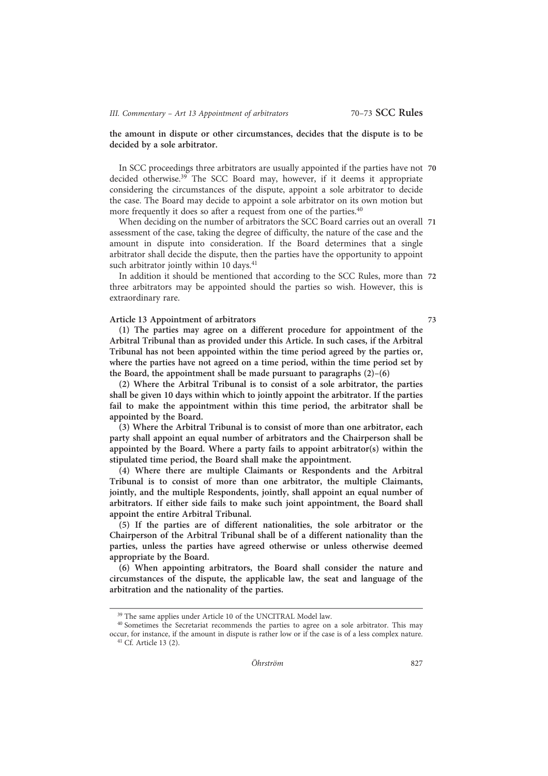the amount in dispute or other circumstances, decides that the dispute is to be decided by a sole arbitrator.

In SCC proceedings three arbitrators are usually appointed if the parties have not 70 decided otherwise.<sup>39</sup> The SCC Board may, however, if it deems it appropriate considering the circumstances of the dispute, appoint a sole arbitrator to decide the case. The Board may decide to appoint a sole arbitrator on its own motion but more frequently it does so after a request from one of the parties.<sup>40</sup>

When deciding on the number of arbitrators the SCC Board carries out an overall 71 assessment of the case, taking the degree of difficulty, the nature of the case and the amount in dispute into consideration. If the Board determines that a single arbitrator shall decide the dispute, then the parties have the opportunity to appoint such arbitrator jointly within 10 days.<sup>41</sup>

In addition it should be mentioned that according to the SCC Rules, more than 72 three arbitrators may be appointed should the parties so wish. However, this is extraordinary rare.

# Article 13 Appointment of arbitrators 73

(1) The parties may agree on a different procedure for appointment of the Arbitral Tribunal than as provided under this Article. In such cases, if the Arbitral Tribunal has not been appointed within the time period agreed by the parties or, where the parties have not agreed on a time period, within the time period set by the Board, the appointment shall be made pursuant to paragraphs (2)–(6)

(2) Where the Arbitral Tribunal is to consist of a sole arbitrator, the parties shall be given 10 days within which to jointly appoint the arbitrator. If the parties fail to make the appointment within this time period, the arbitrator shall be appointed by the Board.

(3) Where the Arbitral Tribunal is to consist of more than one arbitrator, each party shall appoint an equal number of arbitrators and the Chairperson shall be appointed by the Board. Where a party fails to appoint arbitrator(s) within the stipulated time period, the Board shall make the appointment.

(4) Where there are multiple Claimants or Respondents and the Arbitral Tribunal is to consist of more than one arbitrator, the multiple Claimants, jointly, and the multiple Respondents, jointly, shall appoint an equal number of arbitrators. If either side fails to make such joint appointment, the Board shall appoint the entire Arbitral Tribunal.

(5) If the parties are of different nationalities, the sole arbitrator or the Chairperson of the Arbitral Tribunal shall be of a different nationality than the parties, unless the parties have agreed otherwise or unless otherwise deemed appropriate by the Board.

(6) When appointing arbitrators, the Board shall consider the nature and circumstances of the dispute, the applicable law, the seat and language of the arbitration and the nationality of the parties.

<sup>&</sup>lt;sup>39</sup> The same applies under Article 10 of the UNCITRAL Model law.

<sup>&</sup>lt;sup>40</sup> Sometimes the Secretariat recommends the parties to agree on a sole arbitrator. This may occur, for instance, if the amount in dispute is rather low or if the case is of a less complex nature. <sup>41</sup> Cf. Article 13 (2).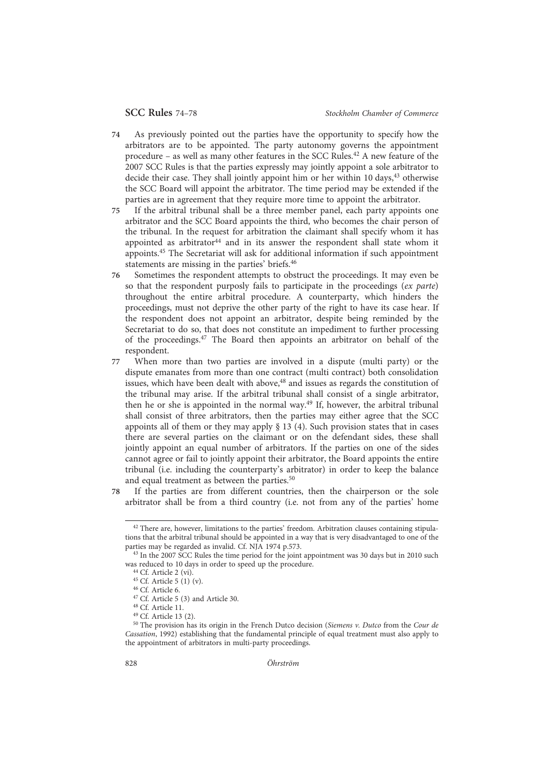- 74 As previously pointed out the parties have the opportunity to specify how the arbitrators are to be appointed. The party autonomy governs the appointment procedure – as well as many other features in the SCC Rules.42 A new feature of the 2007 SCC Rules is that the parties expressly may jointly appoint a sole arbitrator to decide their case. They shall jointly appoint him or her within 10 days, $43$  otherwise the SCC Board will appoint the arbitrator. The time period may be extended if the parties are in agreement that they require more time to appoint the arbitrator.
- 75 If the arbitral tribunal shall be a three member panel, each party appoints one arbitrator and the SCC Board appoints the third, who becomes the chair person of the tribunal. In the request for arbitration the claimant shall specify whom it has appointed as arbitrator<sup>44</sup> and in its answer the respondent shall state whom it appoints.45 The Secretariat will ask for additional information if such appointment statements are missing in the parties' briefs.46
- 76 Sometimes the respondent attempts to obstruct the proceedings. It may even be so that the respondent purposly fails to participate in the proceedings (ex parte) throughout the entire arbitral procedure. A counterparty, which hinders the proceedings, must not deprive the other party of the right to have its case hear. If the respondent does not appoint an arbitrator, despite being reminded by the Secretariat to do so, that does not constitute an impediment to further processing of the proceedings.47 The Board then appoints an arbitrator on behalf of the respondent.
- 77 When more than two parties are involved in a dispute (multi party) or the dispute emanates from more than one contract (multi contract) both consolidation issues, which have been dealt with above,<sup>48</sup> and issues as regards the constitution of the tribunal may arise. If the arbitral tribunal shall consist of a single arbitrator, then he or she is appointed in the normal way.49 If, however, the arbitral tribunal shall consist of three arbitrators, then the parties may either agree that the SCC appoints all of them or they may apply  $\S$  13 (4). Such provision states that in cases there are several parties on the claimant or on the defendant sides, these shall jointly appoint an equal number of arbitrators. If the parties on one of the sides cannot agree or fail to jointly appoint their arbitrator, the Board appoints the entire tribunal (i.e. including the counterparty's arbitrator) in order to keep the balance and equal treatment as between the parties.<sup>50</sup>
- 78 If the parties are from different countries, then the chairperson or the sole arbitrator shall be from a third country (i.e. not from any of the parties' home

<sup>&</sup>lt;sup>42</sup> There are, however, limitations to the parties' freedom. Arbitration clauses containing stipulations that the arbitral tribunal should be appointed in a way that is very disadvantaged to one of the parties may be regarded as invalid. Cf. NJA 1974 p.573.

<sup>&</sup>lt;sup>43</sup> In the 2007 SCC Rules the time period for the joint appointment was 30 days but in 2010 such was reduced to 10 days in order to speed up the procedure.

 $44$  Cf. Article 2 (vi).

<sup>45</sup> Cf. Article 5 (1) (v).

<sup>46</sup> Cf. Article 6.

<sup>47</sup> Cf. Article 5 (3) and Article 30.

<sup>48</sup> Cf. Article 11.

<sup>49</sup> Cf. Article 13 (2).

 $50$  The provision has its origin in the French Dutco decision (Siemens v. Dutco from the Cour de Cassation, 1992) establishing that the fundamental principle of equal treatment must also apply to the appointment of arbitrators in multi-party proceedings.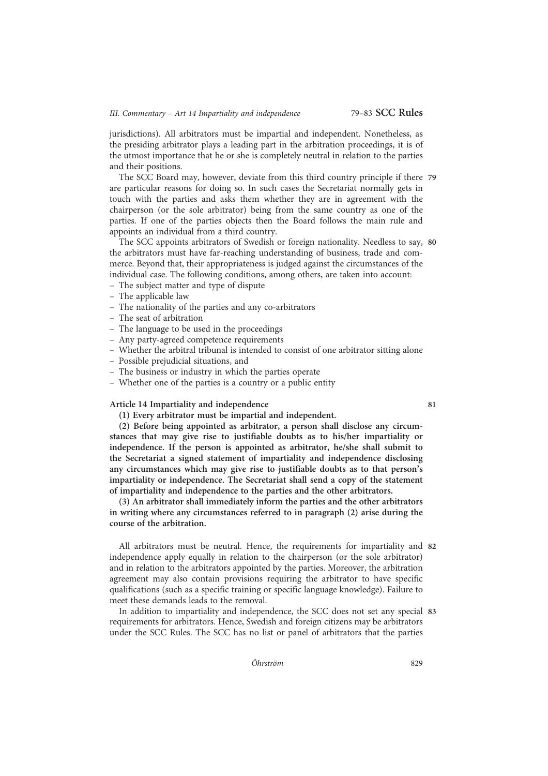jurisdictions). All arbitrators must be impartial and independent. Nonetheless, as the presiding arbitrator plays a leading part in the arbitration proceedings, it is of the utmost importance that he or she is completely neutral in relation to the parties and their positions.

The SCC Board may, however, deviate from this third country principle if there 79 are particular reasons for doing so. In such cases the Secretariat normally gets in touch with the parties and asks them whether they are in agreement with the chairperson (or the sole arbitrator) being from the same country as one of the parties. If one of the parties objects then the Board follows the main rule and appoints an individual from a third country.

The SCC appoints arbitrators of Swedish or foreign nationality. Needless to say, 80 the arbitrators must have far-reaching understanding of business, trade and commerce. Beyond that, their appropriateness is judged against the circumstances of the individual case. The following conditions, among others, are taken into account:

- The subject matter and type of dispute
- The applicable law
- The nationality of the parties and any co-arbitrators
- The seat of arbitration
- The language to be used in the proceedings
- Any party-agreed competence requirements
- Whether the arbitral tribunal is intended to consist of one arbitrator sitting alone
- Possible prejudicial situations, and
- The business or industry in which the parties operate
- Whether one of the parties is a country or a public entity

Article 14 Impartiality and independence 81

(1) Every arbitrator must be impartial and independent.

(2) Before being appointed as arbitrator, a person shall disclose any circumstances that may give rise to justifiable doubts as to his/her impartiality or independence. If the person is appointed as arbitrator, he/she shall submit to the Secretariat a signed statement of impartiality and independence disclosing any circumstances which may give rise to justifiable doubts as to that person's impartiality or independence. The Secretariat shall send a copy of the statement of impartiality and independence to the parties and the other arbitrators.

(3) An arbitrator shall immediately inform the parties and the other arbitrators in writing where any circumstances referred to in paragraph (2) arise during the course of the arbitration.

All arbitrators must be neutral. Hence, the requirements for impartiality and 82 independence apply equally in relation to the chairperson (or the sole arbitrator) and in relation to the arbitrators appointed by the parties. Moreover, the arbitration agreement may also contain provisions requiring the arbitrator to have specific qualifications (such as a specific training or specific language knowledge). Failure to meet these demands leads to the removal.

In addition to impartiality and independence, the SCC does not set any special 83 requirements for arbitrators. Hence, Swedish and foreign citizens may be arbitrators under the SCC Rules. The SCC has no list or panel of arbitrators that the parties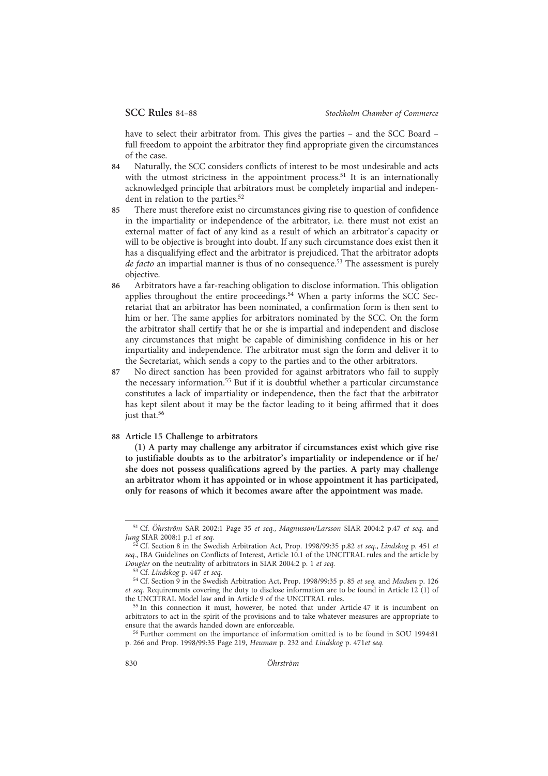have to select their arbitrator from. This gives the parties – and the SCC Board – full freedom to appoint the arbitrator they find appropriate given the circumstances of the case.

- 84 Naturally, the SCC considers conflicts of interest to be most undesirable and acts with the utmost strictness in the appointment process.<sup>51</sup> It is an internationally acknowledged principle that arbitrators must be completely impartial and independent in relation to the parties.<sup>52</sup>
- 85 There must therefore exist no circumstances giving rise to question of confidence in the impartiality or independence of the arbitrator, i.e. there must not exist an external matter of fact of any kind as a result of which an arbitrator's capacity or will to be objective is brought into doubt. If any such circumstance does exist then it has a disqualifying effect and the arbitrator is prejudiced. That the arbitrator adopts de facto an impartial manner is thus of no consequence.<sup>53</sup> The assessment is purely objective.
- 86 Arbitrators have a far-reaching obligation to disclose information. This obligation applies throughout the entire proceedings.<sup>54</sup> When a party informs the SCC Secretariat that an arbitrator has been nominated, a confirmation form is then sent to him or her. The same applies for arbitrators nominated by the SCC. On the form the arbitrator shall certify that he or she is impartial and independent and disclose any circumstances that might be capable of diminishing confidence in his or her impartiality and independence. The arbitrator must sign the form and deliver it to the Secretariat, which sends a copy to the parties and to the other arbitrators.
- 87 No direct sanction has been provided for against arbitrators who fail to supply the necessary information.55 But if it is doubtful whether a particular circumstance constitutes a lack of impartiality or independence, then the fact that the arbitrator has kept silent about it may be the factor leading to it being affirmed that it does just that.<sup>56</sup>

#### 88 Article 15 Challenge to arbitrators

(1) A party may challenge any arbitrator if circumstances exist which give rise to justifiable doubts as to the arbitrator's impartiality or independence or if he/ she does not possess qualifications agreed by the parties. A party may challenge an arbitrator whom it has appointed or in whose appointment it has participated, only for reasons of which it becomes aware after the appointment was made.

<sup>&</sup>lt;sup>51</sup> Cf. Öhrström SAR 2002:1 Page 35 et seq., Magnusson/Larsson SIAR 2004:2 p.47 et seq. and Jung SIAR 2008:1 p.1 et seq.

 $\frac{52}{2}$  Cf. Section 8 in the Swedish Arbitration Act, Prop. 1998/99:35 p.82 et seq., Lindskog p. 451 et seq., IBA Guidelines on Conflicts of Interest, Article 10.1 of the UNCITRAL rules and the article by Dougier on the neutrality of arbitrators in SIAR 2004:2 p. 1 et seq.

<sup>&</sup>lt;sup>53</sup> Cf. Lindskog p. 447 et seq.

<sup>&</sup>lt;sup>54</sup> Cf. Section 9 in the Swedish Arbitration Act, Prop. 1998/99:35 p. 85 et seq. and Madsen p. 126 et seq. Requirements covering the duty to disclose information are to be found in Article 12 (1) of the UNCITRAL Model law and in Article 9 of the UNCITRAL rules.

<sup>55</sup> In this connection it must, however, be noted that under Article 47 it is incumbent on arbitrators to act in the spirit of the provisions and to take whatever measures are appropriate to ensure that the awards handed down are enforceable.

<sup>56</sup> Further comment on the importance of information omitted is to be found in SOU 1994:81 p. 266 and Prop. 1998/99:35 Page 219, Heuman p. 232 and Lindskog p. 471et seq.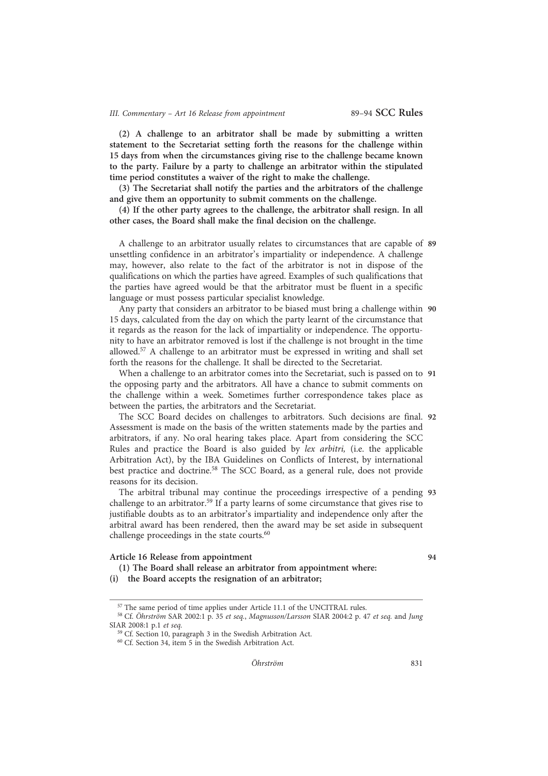# III. Commentary - Art 16 Release from appointment 89-94 SCC Rules

(2) A challenge to an arbitrator shall be made by submitting a written statement to the Secretariat setting forth the reasons for the challenge within 15 days from when the circumstances giving rise to the challenge became known to the party. Failure by a party to challenge an arbitrator within the stipulated time period constitutes a waiver of the right to make the challenge.

(3) The Secretariat shall notify the parties and the arbitrators of the challenge and give them an opportunity to submit comments on the challenge.

(4) If the other party agrees to the challenge, the arbitrator shall resign. In all other cases, the Board shall make the final decision on the challenge.

A challenge to an arbitrator usually relates to circumstances that are capable of 89 unsettling confidence in an arbitrator's impartiality or independence. A challenge may, however, also relate to the fact of the arbitrator is not in dispose of the qualifications on which the parties have agreed. Examples of such qualifications that the parties have agreed would be that the arbitrator must be fluent in a specific language or must possess particular specialist knowledge.

Any party that considers an arbitrator to be biased must bring a challenge within 90 15 days, calculated from the day on which the party learnt of the circumstance that it regards as the reason for the lack of impartiality or independence. The opportunity to have an arbitrator removed is lost if the challenge is not brought in the time allowed.<sup>57</sup> A challenge to an arbitrator must be expressed in writing and shall set forth the reasons for the challenge. It shall be directed to the Secretariat.

When a challenge to an arbitrator comes into the Secretariat, such is passed on to 91 the opposing party and the arbitrators. All have a chance to submit comments on the challenge within a week. Sometimes further correspondence takes place as between the parties, the arbitrators and the Secretariat.

The SCC Board decides on challenges to arbitrators. Such decisions are final. 92 Assessment is made on the basis of the written statements made by the parties and arbitrators, if any. No oral hearing takes place. Apart from considering the SCC Rules and practice the Board is also guided by lex arbitri, (i.e. the applicable Arbitration Act), by the IBA Guidelines on Conflicts of Interest, by international best practice and doctrine.<sup>58</sup> The SCC Board, as a general rule, does not provide reasons for its decision.

The arbitral tribunal may continue the proceedings irrespective of a pending 93 challenge to an arbitrator.<sup>59</sup> If a party learns of some circumstance that gives rise to justifiable doubts as to an arbitrator's impartiality and independence only after the arbitral award has been rendered, then the award may be set aside in subsequent challenge proceedings in the state courts.<sup>60</sup>

# Article 16 Release from appointment 94

(i) the Board accepts the resignation of an arbitrator;

(1) The Board shall release an arbitrator from appointment where:

<sup>57</sup> The same period of time applies under Article 11.1 of the UNCITRAL rules.

<sup>58</sup> Cf. Öhrström SAR 2002:1 p. 35 et seq., Magnusson/Larsson SIAR 2004:2 p. 47 et seq. and Jung SIAR 2008:1 p.1 et seq.

 $59$  Cf. Section 10, paragraph 3 in the Swedish Arbitration Act.

<sup>60</sup> Cf. Section 34, item 5 in the Swedish Arbitration Act.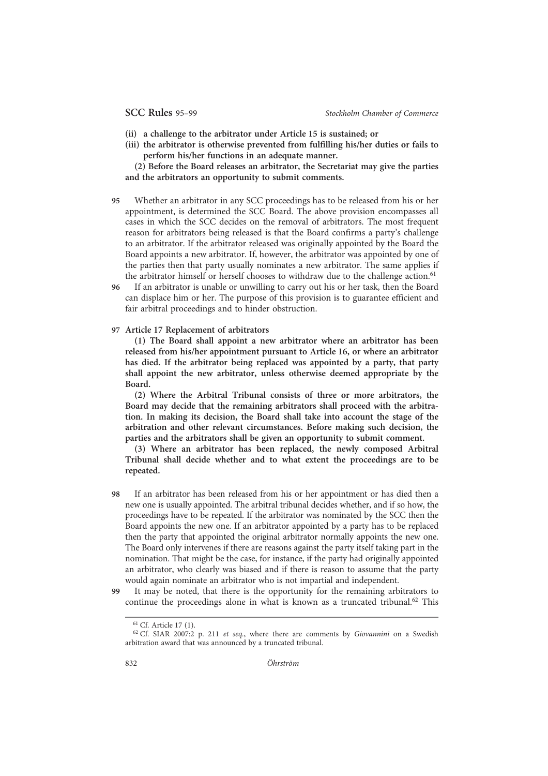- (ii) a challenge to the arbitrator under Article 15 is sustained; or
- (iii) the arbitrator is otherwise prevented from fulfilling his/her duties or fails to perform his/her functions in an adequate manner.

(2) Before the Board releases an arbitrator, the Secretariat may give the parties and the arbitrators an opportunity to submit comments.

- 95 Whether an arbitrator in any SCC proceedings has to be released from his or her appointment, is determined the SCC Board. The above provision encompasses all cases in which the SCC decides on the removal of arbitrators. The most frequent reason for arbitrators being released is that the Board confirms a party's challenge to an arbitrator. If the arbitrator released was originally appointed by the Board the Board appoints a new arbitrator. If, however, the arbitrator was appointed by one of the parties then that party usually nominates a new arbitrator. The same applies if the arbitrator himself or herself chooses to withdraw due to the challenge action.<sup>61</sup>
- 96 If an arbitrator is unable or unwilling to carry out his or her task, then the Board can displace him or her. The purpose of this provision is to guarantee efficient and fair arbitral proceedings and to hinder obstruction.

# 97 Article 17 Replacement of arbitrators

(1) The Board shall appoint a new arbitrator where an arbitrator has been released from his/her appointment pursuant to Article 16, or where an arbitrator has died. If the arbitrator being replaced was appointed by a party, that party shall appoint the new arbitrator, unless otherwise deemed appropriate by the Board.

(2) Where the Arbitral Tribunal consists of three or more arbitrators, the Board may decide that the remaining arbitrators shall proceed with the arbitration. In making its decision, the Board shall take into account the stage of the arbitration and other relevant circumstances. Before making such decision, the parties and the arbitrators shall be given an opportunity to submit comment.

(3) Where an arbitrator has been replaced, the newly composed Arbitral Tribunal shall decide whether and to what extent the proceedings are to be repeated.

- 98 If an arbitrator has been released from his or her appointment or has died then a new one is usually appointed. The arbitral tribunal decides whether, and if so how, the proceedings have to be repeated. If the arbitrator was nominated by the SCC then the Board appoints the new one. If an arbitrator appointed by a party has to be replaced then the party that appointed the original arbitrator normally appoints the new one. The Board only intervenes if there are reasons against the party itself taking part in the nomination. That might be the case, for instance, if the party had originally appointed an arbitrator, who clearly was biased and if there is reason to assume that the party would again nominate an arbitrator who is not impartial and independent.
- 99 It may be noted, that there is the opportunity for the remaining arbitrators to continue the proceedings alone in what is known as a truncated tribunal.<sup>62</sup> This

832 **O**hrström

<sup>61</sup> Cf. Article 17 (1).

 $62$  Cf. SIAR 2007:2 p. 211 et seq., where there are comments by Giovannini on a Swedish arbitration award that was announced by a truncated tribunal.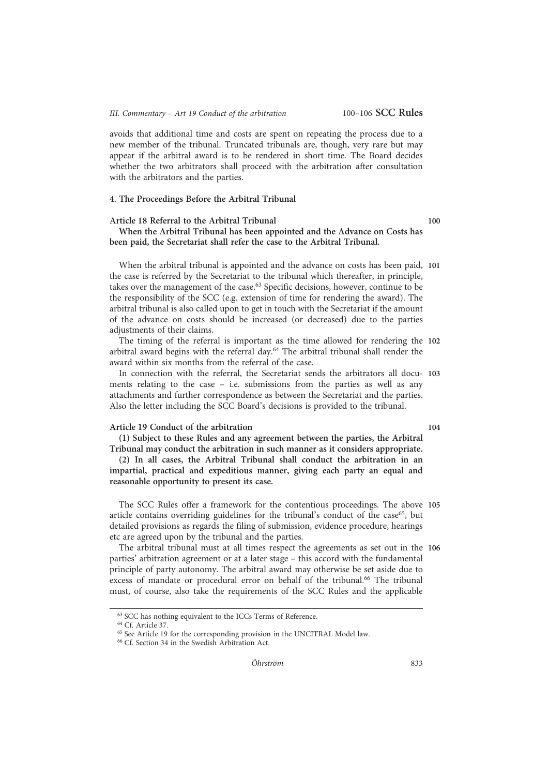avoids that additional time and costs are spent on repeating the process due to a new member of the tribunal. Truncated tribunals are, though, very rare but may appear if the arbitral award is to be rendered in short time. The Board decides whether the two arbitrators shall proceed with the arbitration after consultation with the arbitrators and the parties.

#### 4. The Proceedings Before the Arbitral Tribunal

# Article 18 Referral to the Arbitral Tribunal 100 When the Arbitral Tribunal has been appointed and the Advance on Costs has been paid, the Secretariat shall refer the case to the Arbitral Tribunal.

When the arbitral tribunal is appointed and the advance on costs has been paid, 101 the case is referred by the Secretariat to the tribunal which thereafter, in principle, takes over the management of the case.<sup>63</sup> Specific decisions, however, continue to be the responsibility of the SCC (e.g. extension of time for rendering the award). The arbitral tribunal is also called upon to get in touch with the Secretariat if the amount of the advance on costs should be increased (or decreased) due to the parties adjustments of their claims.

The timing of the referral is important as the time allowed for rendering the 102 arbitral award begins with the referral day.64 The arbitral tribunal shall render the award within six months from the referral of the case.

In connection with the referral, the Secretariat sends the arbitrators all docu- 103 ments relating to the case – i.e. submissions from the parties as well as any attachments and further correspondence as between the Secretariat and the parties. Also the letter including the SCC Board's decisions is provided to the tribunal.

# Article 19 Conduct of the arbitration 104

(1) Subject to these Rules and any agreement between the parties, the Arbitral Tribunal may conduct the arbitration in such manner as it considers appropriate.

(2) In all cases, the Arbitral Tribunal shall conduct the arbitration in an impartial, practical and expeditious manner, giving each party an equal and reasonable opportunity to present its case.

The SCC Rules offer a framework for the contentious proceedings. The above 105 article contains overriding guidelines for the tribunal's conduct of the case<sup>65</sup>, but detailed provisions as regards the filing of submission, evidence procedure, hearings etc are agreed upon by the tribunal and the parties.

The arbitral tribunal must at all times respect the agreements as set out in the 106 parties' arbitration agreement or at a later stage – this accord with the fundamental principle of party autonomy. The arbitral award may otherwise be set aside due to excess of mandate or procedural error on behalf of the tribunal.<sup>66</sup> The tribunal must, of course, also take the requirements of the SCC Rules and the applicable

<sup>63</sup> SCC has nothing equivalent to the ICCs Terms of Reference.

<sup>64</sup> Cf. Article 37.

<sup>65</sup> See Article 19 for the corresponding provision in the UNCITRAL Model law.

<sup>66</sup> Cf. Section 34 in the Swedish Arbitration Act.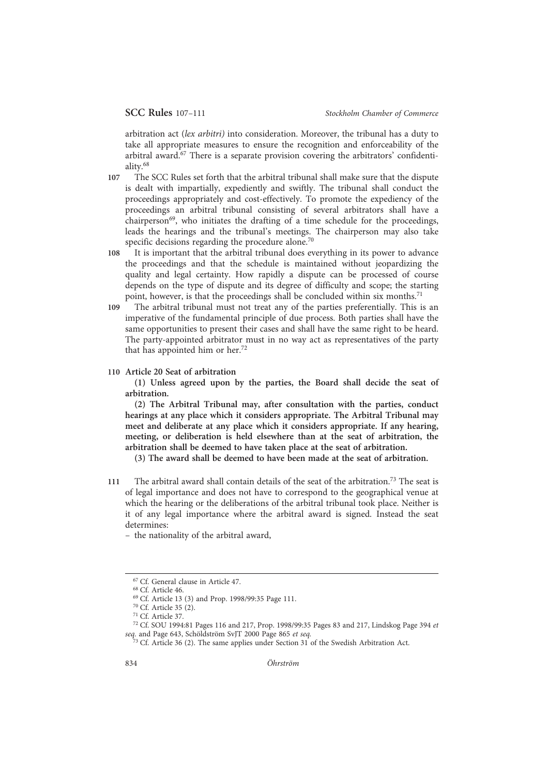arbitration act (lex arbitri) into consideration. Moreover, the tribunal has a duty to take all appropriate measures to ensure the recognition and enforceability of the arbitral award.<sup>67</sup> There is a separate provision covering the arbitrators' confidentiality.68

- 107 The SCC Rules set forth that the arbitral tribunal shall make sure that the dispute is dealt with impartially, expediently and swiftly. The tribunal shall conduct the proceedings appropriately and cost-effectively. To promote the expediency of the proceedings an arbitral tribunal consisting of several arbitrators shall have a chairperson $^{69}$ , who initiates the drafting of a time schedule for the proceedings, leads the hearings and the tribunal's meetings. The chairperson may also take specific decisions regarding the procedure alone.<sup>70</sup>
- 108 It is important that the arbitral tribunal does everything in its power to advance the proceedings and that the schedule is maintained without jeopardizing the quality and legal certainty. How rapidly a dispute can be processed of course depends on the type of dispute and its degree of difficulty and scope; the starting point, however, is that the proceedings shall be concluded within six months.<sup>71</sup>
- 109 The arbitral tribunal must not treat any of the parties preferentially. This is an imperative of the fundamental principle of due process. Both parties shall have the same opportunities to present their cases and shall have the same right to be heard. The party-appointed arbitrator must in no way act as representatives of the party that has appointed him or her.72
- 110 Article 20 Seat of arbitration

(1) Unless agreed upon by the parties, the Board shall decide the seat of arbitration.

(2) The Arbitral Tribunal may, after consultation with the parties, conduct hearings at any place which it considers appropriate. The Arbitral Tribunal may meet and deliberate at any place which it considers appropriate. If any hearing, meeting, or deliberation is held elsewhere than at the seat of arbitration, the arbitration shall be deemed to have taken place at the seat of arbitration.

(3) The award shall be deemed to have been made at the seat of arbitration.

- 111 The arbitral award shall contain details of the seat of the arbitration.<sup>73</sup> The seat is of legal importance and does not have to correspond to the geographical venue at which the hearing or the deliberations of the arbitral tribunal took place. Neither is it of any legal importance where the arbitral award is signed. Instead the seat determines:
	- the nationality of the arbitral award,

<sup>67</sup> Cf. General clause in Article 47.

<sup>68</sup> Cf. Article 46.

<sup>69</sup> Cf. Article 13 (3) and Prop. 1998/99:35 Page 111.

<sup>70</sup> Cf. Article 35 (2).

<sup>71</sup> Cf. Article 37.

<sup>72</sup> Cf. SOU 1994:81 Pages 116 and 217, Prop. 1998/99:35 Pages 83 and 217, Lindskog Page 394 et seq. and Page 643, Schöldström SvJT 2000 Page 865 et seq.

 $3^3$  Cf. Article 36 (2). The same applies under Section 31 of the Swedish Arbitration Act.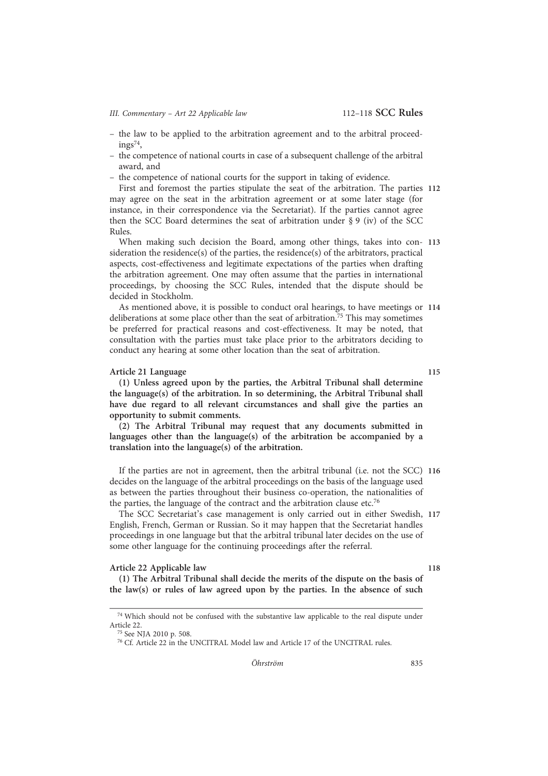III. Commentary - Art 22 Applicable law 112-118 SCC Rules

- the law to be applied to the arbitration agreement and to the arbitral proceed- $\text{ings}^{74}$ ,
- the competence of national courts in case of a subsequent challenge of the arbitral award, and
- the competence of national courts for the support in taking of evidence.

First and foremost the parties stipulate the seat of the arbitration. The parties 112 may agree on the seat in the arbitration agreement or at some later stage (for instance, in their correspondence via the Secretariat). If the parties cannot agree then the SCC Board determines the seat of arbitration under § 9 (iv) of the SCC Rules.

When making such decision the Board, among other things, takes into con- 113 sideration the residence(s) of the parties, the residence(s) of the arbitrators, practical aspects, cost-effectiveness and legitimate expectations of the parties when drafting the arbitration agreement. One may often assume that the parties in international proceedings, by choosing the SCC Rules, intended that the dispute should be decided in Stockholm.

As mentioned above, it is possible to conduct oral hearings, to have meetings or 114 deliberations at some place other than the seat of arbitration.<sup>75</sup> This may sometimes be preferred for practical reasons and cost-effectiveness. It may be noted, that consultation with the parties must take place prior to the arbitrators deciding to conduct any hearing at some other location than the seat of arbitration.

# Article 21 Language 115

(1) Unless agreed upon by the parties, the Arbitral Tribunal shall determine the language(s) of the arbitration. In so determining, the Arbitral Tribunal shall have due regard to all relevant circumstances and shall give the parties an opportunity to submit comments.

(2) The Arbitral Tribunal may request that any documents submitted in languages other than the language(s) of the arbitration be accompanied by a translation into the language(s) of the arbitration.

If the parties are not in agreement, then the arbitral tribunal (i.e. not the SCC) 116 decides on the language of the arbitral proceedings on the basis of the language used as between the parties throughout their business co-operation, the nationalities of the parties, the language of the contract and the arbitration clause etc.<sup>76</sup>

The SCC Secretariat's case management is only carried out in either Swedish, 117 English, French, German or Russian. So it may happen that the Secretariat handles proceedings in one language but that the arbitral tribunal later decides on the use of some other language for the continuing proceedings after the referral.

# Article 22 Applicable law 118

(1) The Arbitral Tribunal shall decide the merits of the dispute on the basis of the law(s) or rules of law agreed upon by the parties. In the absence of such

<sup>&</sup>lt;sup>74</sup> Which should not be confused with the substantive law applicable to the real dispute under Article 22.

<sup>75</sup> See NJA 2010 p. 508.

<sup>76</sup> Cf. Article 22 in the UNCITRAL Model law and Article 17 of the UNCITRAL rules.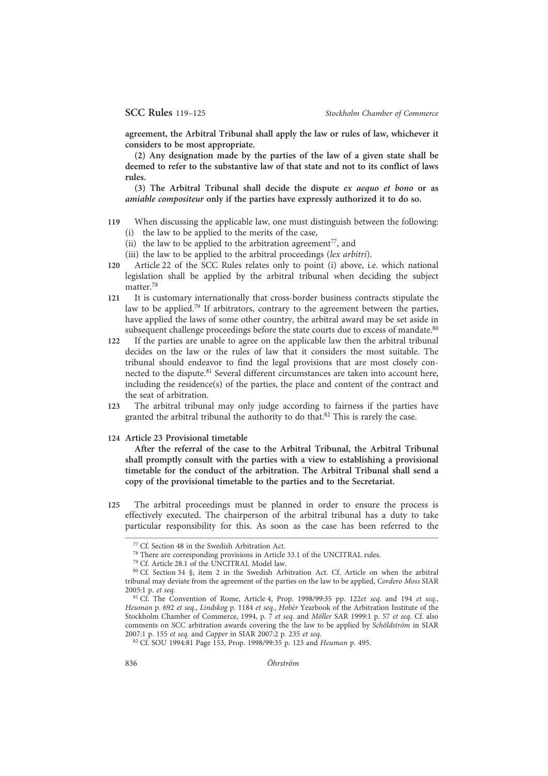agreement, the Arbitral Tribunal shall apply the law or rules of law, whichever it considers to be most appropriate.

(2) Any designation made by the parties of the law of a given state shall be deemed to refer to the substantive law of that state and not to its conflict of laws rules.

(3) The Arbitral Tribunal shall decide the dispute ex aequo et bono or as amiable compositeur only if the parties have expressly authorized it to do so.

- 119 When discussing the applicable law, one must distinguish between the following: (i) the law to be applied to the merits of the case,
	- (ii) the law to be applied to the arbitration agreement<sup>77</sup>, and
	- (iii) the law to be applied to the arbitral proceedings (lex arbitri).
- 120 Article 22 of the SCC Rules relates only to point (i) above, i.e. which national legislation shall be applied by the arbitral tribunal when deciding the subject
- matter.78 121 It is customary internationally that cross-border business contracts stipulate the
- law to be applied.79 If arbitrators, contrary to the agreement between the parties, have applied the laws of some other country, the arbitral award may be set aside in subsequent challenge proceedings before the state courts due to excess of mandate.<sup>80</sup>
- 122 If the parties are unable to agree on the applicable law then the arbitral tribunal decides on the law or the rules of law that it considers the most suitable. The tribunal should endeavor to find the legal provisions that are most closely connected to the dispute.<sup>81</sup> Several different circumstances are taken into account here, including the residence(s) of the parties, the place and content of the contract and the seat of arbitration.
- 123 The arbitral tribunal may only judge according to fairness if the parties have granted the arbitral tribunal the authority to do that.<sup>82</sup> This is rarely the case.

124 Article 23 Provisional timetable

After the referral of the case to the Arbitral Tribunal, the Arbitral Tribunal shall promptly consult with the parties with a view to establishing a provisional timetable for the conduct of the arbitration. The Arbitral Tribunal shall send a copy of the provisional timetable to the parties and to the Secretariat.

125 The arbitral proceedings must be planned in order to ensure the process is effectively executed. The chairperson of the arbitral tribunal has a duty to take particular responsibility for this. As soon as the case has been referred to the

<sup>77</sup> Cf. Section 48 in the Swedish Arbitration Act.

<sup>78</sup> There are corresponding provisions in Article 33.1 of the UNCITRAL rules.

<sup>79</sup> Cf. Article 28.1 of the UNCITRAL Model law.

<sup>80</sup> Cf. Section 34 §, item 2 in the Swedish Arbitration Act. Cf. Article on when the arbitral tribunal may deviate from the agreement of the parties on the law to be applied, Cordero Moss SIAR 2005:1 p. et seq.

<sup>&</sup>lt;sup>81</sup> Cf. The Convention of Rome, Article 4, Prop. 1998/99:35 pp. 122et seq. and 194 et seq., Heuman p. 692 et seq., Lindskog p. 1184 et seq., Hobér Yearbook of the Arbitration Institute of the Stockholm Chamber of Commerce, 1994, p. 7 et seq. and Möller SAR 1999:1 p. 57 et seq. Cf. also comments on SCC arbitration awards covering the the law to be applied by Schöldström in SIAR 2007:1 p. 155 et seq. and Capper in SIAR 2007:2 p. 235 et seq.

<sup>82</sup> Cf. SOU 1994:81 Page 153, Prop. 1998/99:35 p. 123 and Heuman p. 495.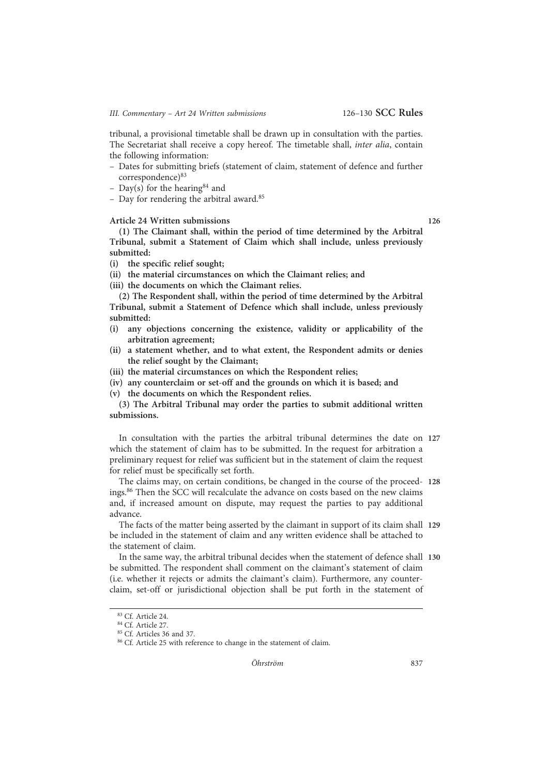tribunal, a provisional timetable shall be drawn up in consultation with the parties. The Secretariat shall receive a copy hereof. The timetable shall, inter alia, contain the following information:

- Dates for submitting briefs (statement of claim, statement of defence and further correspondence)<sup>83</sup>
- Day(s) for the hearing <sup>84</sup> and
- Day for rendering the arbitral award.85

#### Article 24 Written submissions 126

(1) The Claimant shall, within the period of time determined by the Arbitral Tribunal, submit a Statement of Claim which shall include, unless previously submitted:

(i) the specific relief sought;

(ii) the material circumstances on which the Claimant relies; and

(iii) the documents on which the Claimant relies.

(2) The Respondent shall, within the period of time determined by the Arbitral Tribunal, submit a Statement of Defence which shall include, unless previously submitted:

- (i) any objections concerning the existence, validity or applicability of the arbitration agreement;
- (ii) a statement whether, and to what extent, the Respondent admits or denies the relief sought by the Claimant;
- (iii) the material circumstances on which the Respondent relies;
- (iv) any counterclaim or set-off and the grounds on which it is based; and
- (v) the documents on which the Respondent relies.

(3) The Arbitral Tribunal may order the parties to submit additional written submissions.

In consultation with the parties the arbitral tribunal determines the date on 127 which the statement of claim has to be submitted. In the request for arbitration a preliminary request for relief was sufficient but in the statement of claim the request for relief must be specifically set forth.

The claims may, on certain conditions, be changed in the course of the proceed- 128 ings.86 Then the SCC will recalculate the advance on costs based on the new claims and, if increased amount on dispute, may request the parties to pay additional advance.

The facts of the matter being asserted by the claimant in support of its claim shall 129 be included in the statement of claim and any written evidence shall be attached to the statement of claim.

In the same way, the arbitral tribunal decides when the statement of defence shall 130 be submitted. The respondent shall comment on the claimant's statement of claim (i.e. whether it rejects or admits the claimant's claim). Furthermore, any counterclaim, set-off or jurisdictional objection shall be put forth in the statement of

<sup>83</sup> Cf. Article 24.

<sup>84</sup> Cf. Article 27.

<sup>85</sup> Cf. Articles 36 and 37.

<sup>&</sup>lt;sup>86</sup> Cf. Article 25 with reference to change in the statement of claim.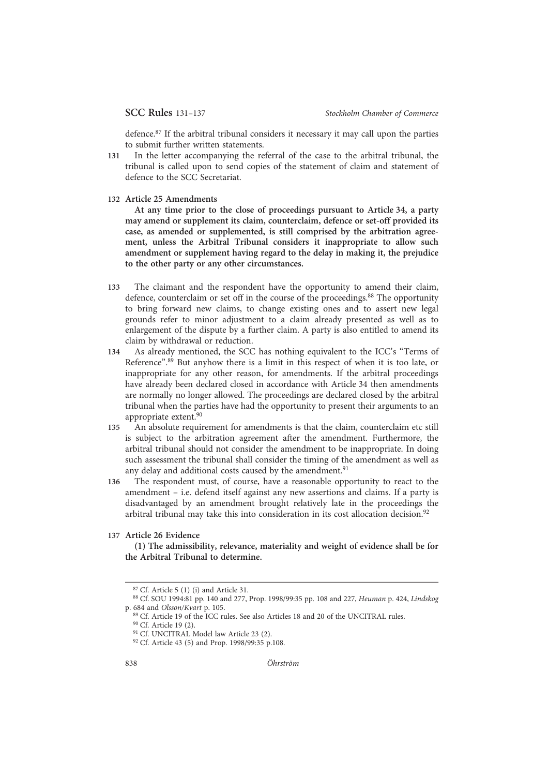defence.87 If the arbitral tribunal considers it necessary it may call upon the parties to submit further written statements.

- 131 In the letter accompanying the referral of the case to the arbitral tribunal, the tribunal is called upon to send copies of the statement of claim and statement of defence to the SCC Secretariat.
- 132 Article 25 Amendments

At any time prior to the close of proceedings pursuant to Article 34, a party may amend or supplement its claim, counterclaim, defence or set-off provided its case, as amended or supplemented, is still comprised by the arbitration agreement, unless the Arbitral Tribunal considers it inappropriate to allow such amendment or supplement having regard to the delay in making it, the prejudice to the other party or any other circumstances.

- 133 The claimant and the respondent have the opportunity to amend their claim, defence, counterclaim or set off in the course of the proceedings.<sup>88</sup> The opportunity to bring forward new claims, to change existing ones and to assert new legal grounds refer to minor adjustment to a claim already presented as well as to enlargement of the dispute by a further claim. A party is also entitled to amend its claim by withdrawal or reduction.
- 134 As already mentioned, the SCC has nothing equivalent to the ICC's "Terms of Reference".<sup>89</sup> But anyhow there is a limit in this respect of when it is too late, or inappropriate for any other reason, for amendments. If the arbitral proceedings have already been declared closed in accordance with Article 34 then amendments are normally no longer allowed. The proceedings are declared closed by the arbitral tribunal when the parties have had the opportunity to present their arguments to an appropriate extent.90
- 135 An absolute requirement for amendments is that the claim, counterclaim etc still is subject to the arbitration agreement after the amendment. Furthermore, the arbitral tribunal should not consider the amendment to be inappropriate. In doing such assessment the tribunal shall consider the timing of the amendment as well as any delay and additional costs caused by the amendment.<sup>91</sup>
- 136 The respondent must, of course, have a reasonable opportunity to react to the amendment – i.e. defend itself against any new assertions and claims. If a party is disadvantaged by an amendment brought relatively late in the proceedings the arbitral tribunal may take this into consideration in its cost allocation decision.<sup>92</sup>

# 137 Article 26 Evidence

(1) The admissibility, relevance, materiality and weight of evidence shall be for the Arbitral Tribunal to determine.

<sup>87</sup> Cf. Article 5 (1) (i) and Article 31.

<sup>88</sup> Cf. SOU 1994:81 pp. 140 and 277, Prop. 1998/99:35 pp. 108 and 227, Heuman p. 424, Lindskog p. 684 and Olsson/Kvart p. 105.

<sup>89</sup> Cf. Article 19 of the ICC rules. See also Articles 18 and 20 of the UNCITRAL rules. <sup>90</sup> Cf. Article 19 (2).

<sup>&</sup>lt;sup>91</sup> Cf. UNCITRAL Model law Article 23 (2).

<sup>92</sup> Cf. Article 43 (5) and Prop. 1998/99:35 p.108.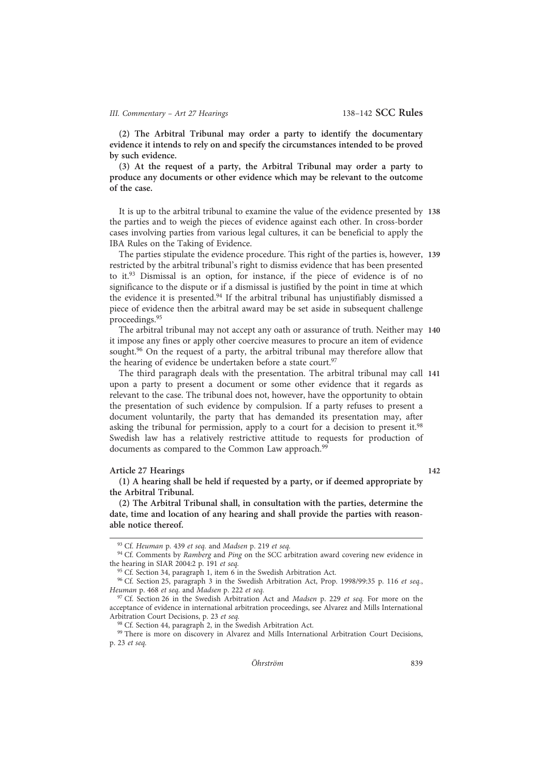(2) The Arbitral Tribunal may order a party to identify the documentary evidence it intends to rely on and specify the circumstances intended to be proved by such evidence.

(3) At the request of a party, the Arbitral Tribunal may order a party to produce any documents or other evidence which may be relevant to the outcome of the case.

It is up to the arbitral tribunal to examine the value of the evidence presented by 138 the parties and to weigh the pieces of evidence against each other. In cross-border cases involving parties from various legal cultures, it can be beneficial to apply the IBA Rules on the Taking of Evidence.

The parties stipulate the evidence procedure. This right of the parties is, however, 139 restricted by the arbitral tribunal's right to dismiss evidence that has been presented to it. $93$  Dismissal is an option, for instance, if the piece of evidence is of no significance to the dispute or if a dismissal is justified by the point in time at which the evidence it is presented.<sup>94</sup> If the arbitral tribunal has unjustifiably dismissed a piece of evidence then the arbitral award may be set aside in subsequent challenge proceedings.95

The arbitral tribunal may not accept any oath or assurance of truth. Neither may 140 it impose any fines or apply other coercive measures to procure an item of evidence sought.<sup>96</sup> On the request of a party, the arbitral tribunal may therefore allow that the hearing of evidence be undertaken before a state court.<sup>97</sup>

The third paragraph deals with the presentation. The arbitral tribunal may call 141 upon a party to present a document or some other evidence that it regards as relevant to the case. The tribunal does not, however, have the opportunity to obtain the presentation of such evidence by compulsion. If a party refuses to present a document voluntarily, the party that has demanded its presentation may, after asking the tribunal for permission, apply to a court for a decision to present it.<sup>98</sup> Swedish law has a relatively restrictive attitude to requests for production of documents as compared to the Common Law approach.<sup>99</sup>

# Article 27 Hearings 142

(1) A hearing shall be held if requested by a party, or if deemed appropriate by the Arbitral Tribunal.

(2) The Arbitral Tribunal shall, in consultation with the parties, determine the date, time and location of any hearing and shall provide the parties with reasonable notice thereof.

99 There is more on discovery in Alvarez and Mills International Arbitration Court Decisions, p. 23 et seq.

<sup>93</sup> Cf. Heuman p. 439 et seq. and Madsen p. 219 et seq.

<sup>&</sup>lt;sup>94</sup> Cf. Comments by Ramberg and Ping on the SCC arbitration award covering new evidence in the hearing in SIAR 2004:2 p. 191 et seq.

<sup>&</sup>lt;sup>95</sup> Cf. Section 34, paragraph 1, item 6 in the Swedish Arbitration Act.

<sup>96</sup> Cf. Section 25, paragraph 3 in the Swedish Arbitration Act, Prop. 1998/99:35 p. 116 et seq., Heuman p. 468 et seq. and Madsen p. 222 et seq.

<sup>&</sup>lt;sup>97</sup> Cf. Section 26 in the Swedish Arbitration Act and *Madsen* p. 229 et seq. For more on the acceptance of evidence in international arbitration proceedings, see Alvarez and Mills International Arbitration Court Decisions, p. 23 et seq.

<sup>&</sup>lt;sup>8</sup> Cf. Section 44, paragraph 2, in the Swedish Arbitration Act.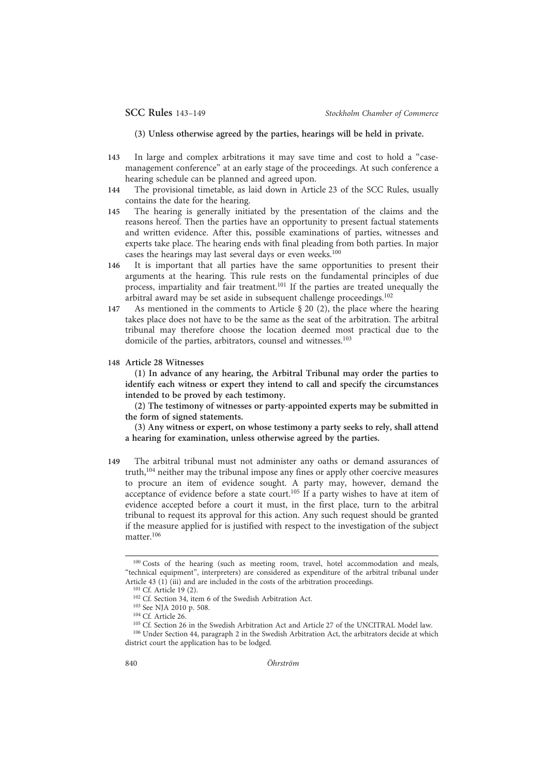(3) Unless otherwise agreed by the parties, hearings will be held in private.

- 143 In large and complex arbitrations it may save time and cost to hold a "casemanagement conference" at an early stage of the proceedings. At such conference a hearing schedule can be planned and agreed upon.
- 144 The provisional timetable, as laid down in Article 23 of the SCC Rules, usually contains the date for the hearing.
- 145 The hearing is generally initiated by the presentation of the claims and the reasons hereof. Then the parties have an opportunity to present factual statements and written evidence. After this, possible examinations of parties, witnesses and experts take place. The hearing ends with final pleading from both parties. In major cases the hearings may last several days or even weeks.<sup>100</sup>
- 146 It is important that all parties have the same opportunities to present their arguments at the hearing. This rule rests on the fundamental principles of due process, impartiality and fair treatment.101 If the parties are treated unequally the arbitral award may be set aside in subsequent challenge proceedings.102
- 147 As mentioned in the comments to Article § 20 (2), the place where the hearing takes place does not have to be the same as the seat of the arbitration. The arbitral tribunal may therefore choose the location deemed most practical due to the domicile of the parties, arbitrators, counsel and witnesses.<sup>103</sup>
- 148 Article 28 Witnesses

(1) In advance of any hearing, the Arbitral Tribunal may order the parties to identify each witness or expert they intend to call and specify the circumstances intended to be proved by each testimony.

(2) The testimony of witnesses or party-appointed experts may be submitted in the form of signed statements.

(3) Any witness or expert, on whose testimony a party seeks to rely, shall attend a hearing for examination, unless otherwise agreed by the parties.

149 The arbitral tribunal must not administer any oaths or demand assurances of truth,104 neither may the tribunal impose any fines or apply other coercive measures to procure an item of evidence sought. A party may, however, demand the acceptance of evidence before a state court.<sup>105</sup> If a party wishes to have at item of evidence accepted before a court it must, in the first place, turn to the arbitral tribunal to request its approval for this action. Any such request should be granted if the measure applied for is justified with respect to the investigation of the subject matter.<sup>106</sup>

<sup>100</sup> Costs of the hearing (such as meeting room, travel, hotel accommodation and meals, "technical equipment", interpreters) are considered as expenditure of the arbitral tribunal under Article 43  $(1)$  (iii) and are included in the costs of the arbitration proceedings.

<sup>&</sup>lt;sup>101</sup> Cf. Article 19 (2).

<sup>102</sup> Cf. Section 34, item 6 of the Swedish Arbitration Act.

<sup>103</sup> See NJA 2010 p. 508.

<sup>104</sup> Cf. Article 26.

<sup>105</sup> Cf. Section 26 in the Swedish Arbitration Act and Article 27 of the UNCITRAL Model law.

<sup>106</sup> Under Section 44, paragraph 2 in the Swedish Arbitration Act, the arbitrators decide at which district court the application has to be lodged.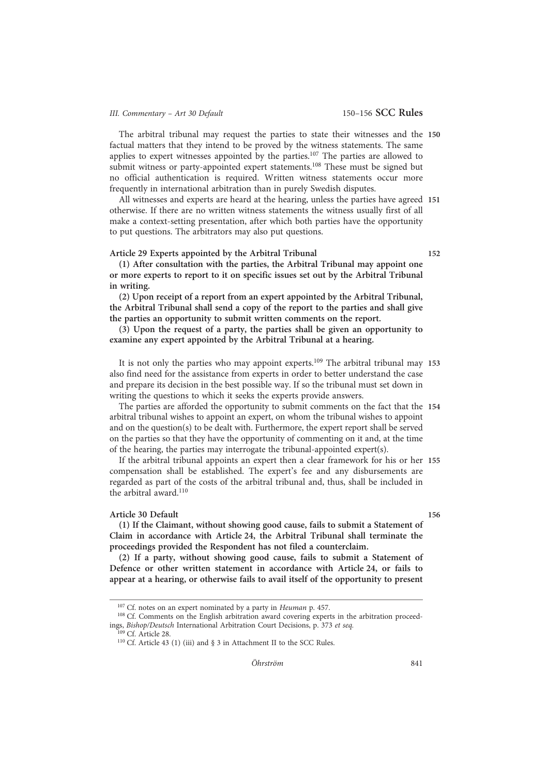The arbitral tribunal may request the parties to state their witnesses and the 150 factual matters that they intend to be proved by the witness statements. The same applies to expert witnesses appointed by the parties.<sup>107</sup> The parties are allowed to submit witness or party-appointed expert statements.<sup>108</sup> These must be signed but no official authentication is required. Written witness statements occur more frequently in international arbitration than in purely Swedish disputes.

All witnesses and experts are heard at the hearing, unless the parties have agreed 151 otherwise. If there are no written witness statements the witness usually first of all make a context-setting presentation, after which both parties have the opportunity to put questions. The arbitrators may also put questions.

#### Article 29 Experts appointed by the Arbitral Tribunal 152

(1) After consultation with the parties, the Arbitral Tribunal may appoint one or more experts to report to it on specific issues set out by the Arbitral Tribunal in writing.

(2) Upon receipt of a report from an expert appointed by the Arbitral Tribunal, the Arbitral Tribunal shall send a copy of the report to the parties and shall give the parties an opportunity to submit written comments on the report.

(3) Upon the request of a party, the parties shall be given an opportunity to examine any expert appointed by the Arbitral Tribunal at a hearing.

It is not only the parties who may appoint experts.<sup>109</sup> The arbitral tribunal may 153 also find need for the assistance from experts in order to better understand the case and prepare its decision in the best possible way. If so the tribunal must set down in writing the questions to which it seeks the experts provide answers.

The parties are afforded the opportunity to submit comments on the fact that the 154 arbitral tribunal wishes to appoint an expert, on whom the tribunal wishes to appoint and on the question(s) to be dealt with. Furthermore, the expert report shall be served on the parties so that they have the opportunity of commenting on it and, at the time of the hearing, the parties may interrogate the tribunal-appointed expert(s).

If the arbitral tribunal appoints an expert then a clear framework for his or her 155 compensation shall be established. The expert's fee and any disbursements are regarded as part of the costs of the arbitral tribunal and, thus, shall be included in the arbitral award.<sup>110</sup>

#### Article 30 Default 156

(1) If the Claimant, without showing good cause, fails to submit a Statement of Claim in accordance with Article 24, the Arbitral Tribunal shall terminate the proceedings provided the Respondent has not filed a counterclaim.

(2) If a party, without showing good cause, fails to submit a Statement of Defence or other written statement in accordance with Article 24, or fails to appear at a hearing, or otherwise fails to avail itself of the opportunity to present

<sup>109</sup> Cf. Article 28.

<sup>&</sup>lt;sup>107</sup> Cf. notes on an expert nominated by a party in *Heuman* p. 457.

<sup>&</sup>lt;sup>108</sup> Cf. Comments on the English arbitration award covering experts in the arbitration proceedings, Bishop/Deutsch International Arbitration Court Decisions, p. 373 et seq.

<sup>110</sup> Cf. Article 43 (1) (iii) and § 3 in Attachment II to the SCC Rules.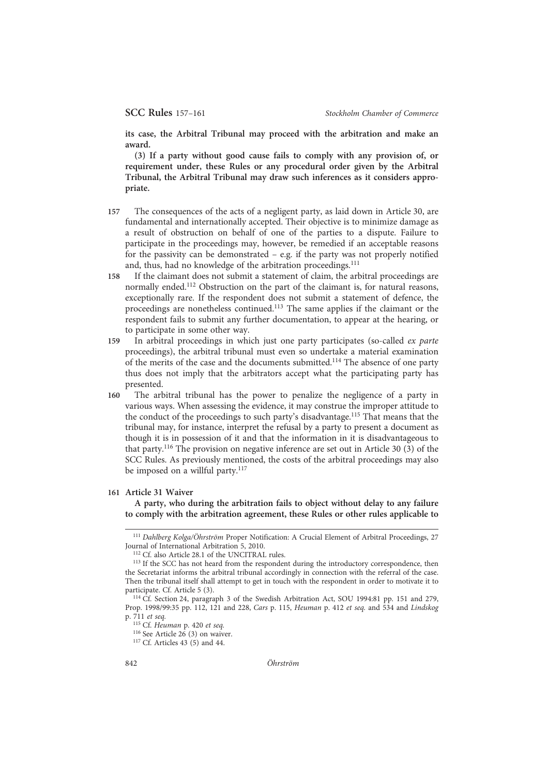its case, the Arbitral Tribunal may proceed with the arbitration and make an award.

(3) If a party without good cause fails to comply with any provision of, or requirement under, these Rules or any procedural order given by the Arbitral Tribunal, the Arbitral Tribunal may draw such inferences as it considers appropriate.

- 157 The consequences of the acts of a negligent party, as laid down in Article 30, are fundamental and internationally accepted. Their objective is to minimize damage as a result of obstruction on behalf of one of the parties to a dispute. Failure to participate in the proceedings may, however, be remedied if an acceptable reasons for the passivity can be demonstrated – e.g. if the party was not properly notified and, thus, had no knowledge of the arbitration proceedings.<sup>111</sup>
- 158 If the claimant does not submit a statement of claim, the arbitral proceedings are normally ended.<sup>112</sup> Obstruction on the part of the claimant is, for natural reasons, exceptionally rare. If the respondent does not submit a statement of defence, the proceedings are nonetheless continued.113 The same applies if the claimant or the respondent fails to submit any further documentation, to appear at the hearing, or to participate in some other way.
- 159 In arbitral proceedings in which just one party participates (so-called ex parte proceedings), the arbitral tribunal must even so undertake a material examination of the merits of the case and the documents submitted.<sup>114</sup> The absence of one party thus does not imply that the arbitrators accept what the participating party has presented.
- 160 The arbitral tribunal has the power to penalize the negligence of a party in various ways. When assessing the evidence, it may construe the improper attitude to the conduct of the proceedings to such party's disadvantage.115 That means that the tribunal may, for instance, interpret the refusal by a party to present a document as though it is in possession of it and that the information in it is disadvantageous to that party.116 The provision on negative inference are set out in Article 30 (3) of the SCC Rules. As previously mentioned, the costs of the arbitral proceedings may also be imposed on a willful party.<sup>117</sup>

#### 161 Article 31 Waiver

A party, who during the arbitration fails to object without delay to any failure to comply with the arbitration agreement, these Rules or other rules applicable to

<sup>&</sup>lt;sup>111</sup> Dahlberg Kolga/Öhrström Proper Notification: A Crucial Element of Arbitral Proceedings, 27 Journal of International Arbitration 5, 2010.

<sup>112</sup> Cf. also Article 28.1 of the UNCITRAL rules.

<sup>&</sup>lt;sup>113</sup> If the SCC has not heard from the respondent during the introductory correspondence, then the Secretariat informs the arbitral tribunal accordingly in connection with the referral of the case. Then the tribunal itself shall attempt to get in touch with the respondent in order to motivate it to participate. Cf. Article 5 (3).

<sup>114</sup> Cf. Section 24, paragraph 3 of the Swedish Arbitration Act, SOU 1994:81 pp. 151 and 279, Prop. 1998/99:35 pp. 112, 121 and 228, Cars p. 115, Heuman p. 412 et seq. and 534 and Lindskog p. 711 et seq.

<sup>115</sup> Cf. Heuman p. 420 et seq.

<sup>&</sup>lt;sup>116</sup> See Article  $26(3)$  on waiver.

<sup>117</sup> Cf. Articles 43 (5) and 44.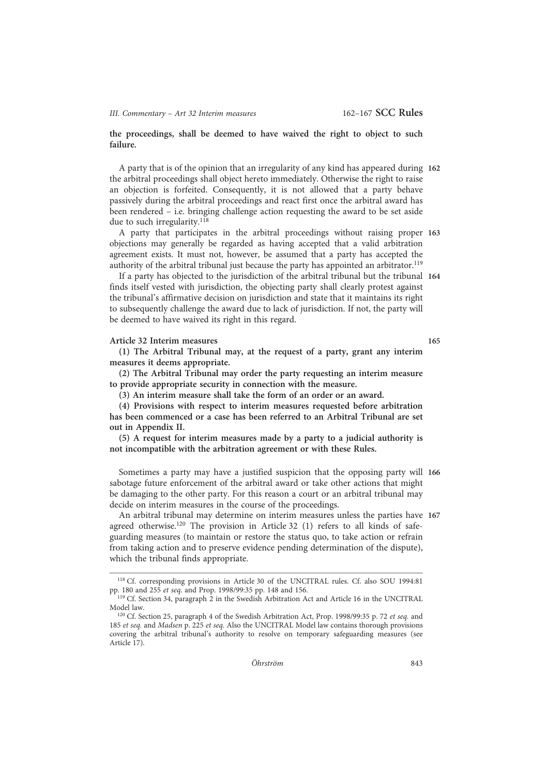the proceedings, shall be deemed to have waived the right to object to such failure.

A party that is of the opinion that an irregularity of any kind has appeared during 162 the arbitral proceedings shall object hereto immediately. Otherwise the right to raise an objection is forfeited. Consequently, it is not allowed that a party behave passively during the arbitral proceedings and react first once the arbitral award has been rendered – i.e. bringing challenge action requesting the award to be set aside due to such irregularity.<sup>118</sup>

A party that participates in the arbitral proceedings without raising proper 163 objections may generally be regarded as having accepted that a valid arbitration agreement exists. It must not, however, be assumed that a party has accepted the authority of the arbitral tribunal just because the party has appointed an arbitrator.<sup>119</sup>

If a party has objected to the jurisdiction of the arbitral tribunal but the tribunal 164 finds itself vested with jurisdiction, the objecting party shall clearly protest against the tribunal's affirmative decision on jurisdiction and state that it maintains its right to subsequently challenge the award due to lack of jurisdiction. If not, the party will be deemed to have waived its right in this regard.

#### Article 32 Interim measures 165

(1) The Arbitral Tribunal may, at the request of a party, grant any interim measures it deems appropriate.

(2) The Arbitral Tribunal may order the party requesting an interim measure to provide appropriate security in connection with the measure.

(3) An interim measure shall take the form of an order or an award.

(4) Provisions with respect to interim measures requested before arbitration has been commenced or a case has been referred to an Arbitral Tribunal are set out in Appendix II.

(5) A request for interim measures made by a party to a judicial authority is not incompatible with the arbitration agreement or with these Rules.

Sometimes a party may have a justified suspicion that the opposing party will 166 sabotage future enforcement of the arbitral award or take other actions that might be damaging to the other party. For this reason a court or an arbitral tribunal may decide on interim measures in the course of the proceedings.

An arbitral tribunal may determine on interim measures unless the parties have 167 agreed otherwise.<sup>120</sup> The provision in Article 32 (1) refers to all kinds of safeguarding measures (to maintain or restore the status quo, to take action or refrain from taking action and to preserve evidence pending determination of the dispute), which the tribunal finds appropriate.

<sup>118</sup> Cf. corresponding provisions in Article 30 of the UNCITRAL rules. Cf. also SOU 1994:81 pp. 180 and 255 et seq. and Prop. 1998/99:35 pp. 148 and 156.

<sup>&</sup>lt;sup>119</sup> Cf. Section 34, paragraph 2 in the Swedish Arbitration Act and Article 16 in the UNCITRAL Model law.

<sup>120</sup> Cf. Section 25, paragraph 4 of the Swedish Arbitration Act, Prop. 1998/99:35 p. 72 et seq. and 185 et seq. and Madsen p. 225 et seq. Also the UNCITRAL Model law contains thorough provisions covering the arbitral tribunal's authority to resolve on temporary safeguarding measures (see Article 17).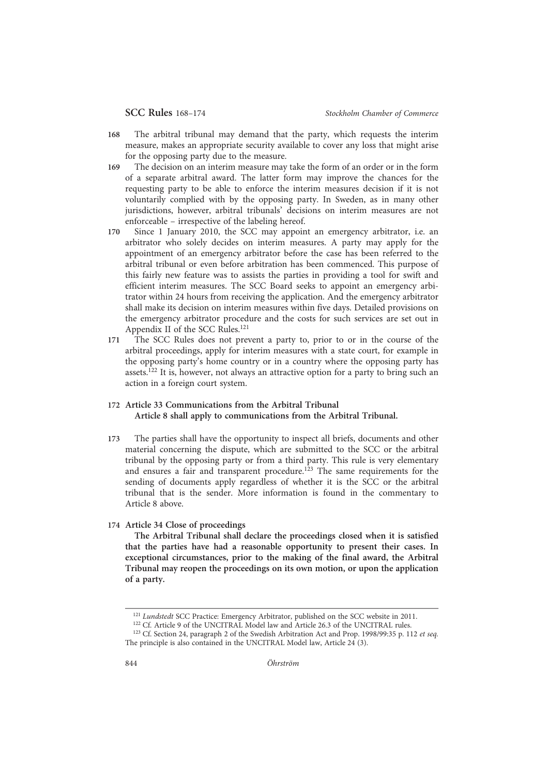- 168 The arbitral tribunal may demand that the party, which requests the interim measure, makes an appropriate security available to cover any loss that might arise for the opposing party due to the measure.
- 169 The decision on an interim measure may take the form of an order or in the form of a separate arbitral award. The latter form may improve the chances for the requesting party to be able to enforce the interim measures decision if it is not voluntarily complied with by the opposing party. In Sweden, as in many other jurisdictions, however, arbitral tribunals' decisions on interim measures are not enforceable – irrespective of the labeling hereof.
- 170 Since 1 January 2010, the SCC may appoint an emergency arbitrator, i.e. an arbitrator who solely decides on interim measures. A party may apply for the appointment of an emergency arbitrator before the case has been referred to the arbitral tribunal or even before arbitration has been commenced. This purpose of this fairly new feature was to assists the parties in providing a tool for swift and efficient interim measures. The SCC Board seeks to appoint an emergency arbitrator within 24 hours from receiving the application. And the emergency arbitrator shall make its decision on interim measures within five days. Detailed provisions on the emergency arbitrator procedure and the costs for such services are set out in Appendix II of the SCC Rules.121
- 171 The SCC Rules does not prevent a party to, prior to or in the course of the arbitral proceedings, apply for interim measures with a state court, for example in the opposing party's home country or in a country where the opposing party has assets.122 It is, however, not always an attractive option for a party to bring such an action in a foreign court system.
- 172 Article 33 Communications from the Arbitral Tribunal Article 8 shall apply to communications from the Arbitral Tribunal.
- 173 The parties shall have the opportunity to inspect all briefs, documents and other material concerning the dispute, which are submitted to the SCC or the arbitral tribunal by the opposing party or from a third party. This rule is very elementary and ensures a fair and transparent procedure.<sup>123</sup> The same requirements for the sending of documents apply regardless of whether it is the SCC or the arbitral tribunal that is the sender. More information is found in the commentary to Article 8 above.
- 174 Article 34 Close of proceedings

The Arbitral Tribunal shall declare the proceedings closed when it is satisfied that the parties have had a reasonable opportunity to present their cases. In exceptional circumstances, prior to the making of the final award, the Arbitral Tribunal may reopen the proceedings on its own motion, or upon the application of a party.

<sup>122</sup> Cf. Article 9 of the UNCITRAL Model law and Article 26.3 of the UNCITRAL rules.

<sup>&</sup>lt;sup>121</sup> Lundstedt SCC Practice: Emergency Arbitrator, published on the SCC website in 2011.

<sup>&</sup>lt;sup>123</sup> Cf. Section 24, paragraph 2 of the Swedish Arbitration Act and Prop. 1998/99:35 p. 112 et seq. The principle is also contained in the UNCITRAL Model law, Article 24 (3).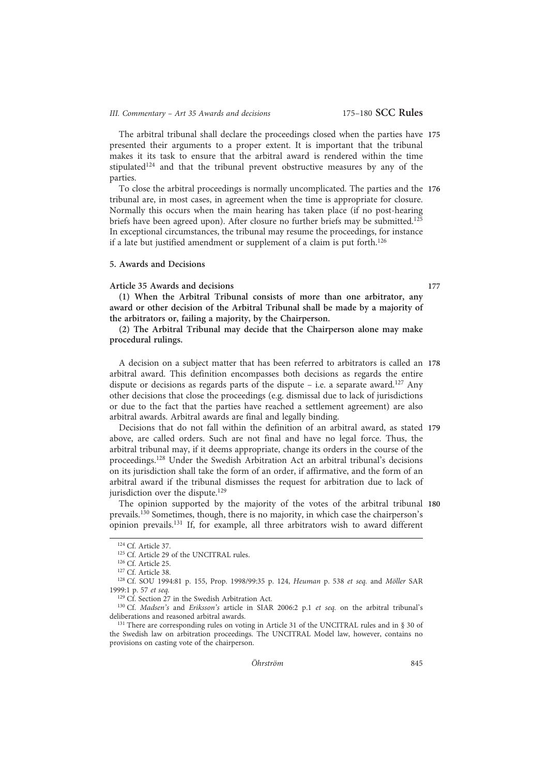# III. Commentary - Art 35 Awards and decisions 175-180 SCC Rules

The arbitral tribunal shall declare the proceedings closed when the parties have 175 presented their arguments to a proper extent. It is important that the tribunal makes it its task to ensure that the arbitral award is rendered within the time stipulated<sup>124</sup> and that the tribunal prevent obstructive measures by any of the parties.

To close the arbitral proceedings is normally uncomplicated. The parties and the 176 tribunal are, in most cases, in agreement when the time is appropriate for closure. Normally this occurs when the main hearing has taken place (if no post-hearing briefs have been agreed upon). After closure no further briefs may be submitted.<sup>125</sup> In exceptional circumstances, the tribunal may resume the proceedings, for instance if a late but justified amendment or supplement of a claim is put forth.<sup>126</sup>

# 5. Awards and Decisions

#### Article 35 Awards and decisions 177

(1) When the Arbitral Tribunal consists of more than one arbitrator, any award or other decision of the Arbitral Tribunal shall be made by a majority of the arbitrators or, failing a majority, by the Chairperson.

(2) The Arbitral Tribunal may decide that the Chairperson alone may make procedural rulings.

A decision on a subject matter that has been referred to arbitrators is called an 178 arbitral award. This definition encompasses both decisions as regards the entire dispute or decisions as regards parts of the dispute  $-$  i.e. a separate award.<sup>127</sup> Any other decisions that close the proceedings (e.g. dismissal due to lack of jurisdictions or due to the fact that the parties have reached a settlement agreement) are also arbitral awards. Arbitral awards are final and legally binding.

Decisions that do not fall within the definition of an arbitral award, as stated 179 above, are called orders. Such are not final and have no legal force. Thus, the arbitral tribunal may, if it deems appropriate, change its orders in the course of the proceedings.128 Under the Swedish Arbitration Act an arbitral tribunal's decisions on its jurisdiction shall take the form of an order, if affirmative, and the form of an arbitral award if the tribunal dismisses the request for arbitration due to lack of jurisdiction over the dispute.<sup>129</sup>

The opinion supported by the majority of the votes of the arbitral tribunal 180 prevails.130 Sometimes, though, there is no majority, in which case the chairperson's opinion prevails.131 If, for example, all three arbitrators wish to award different

<sup>124</sup> Cf. Article 37.

<sup>&</sup>lt;sup>125</sup> Cf. Article 29 of the UNCITRAL rules.

<sup>126</sup> Cf. Article 25.

<sup>127</sup> Cf. Article 38.

<sup>&</sup>lt;sup>128</sup> Cf. SOU 1994:81 p. 155, Prop. 1998/99:35 p. 124, Heuman p. 538 et seq. and Möller SAR 1999:1 p. 57 et seq.

<sup>&</sup>lt;sup>129</sup> Cf. Section 27 in the Swedish Arbitration Act.

<sup>&</sup>lt;sup>130</sup> Cf. Madsen's and Eriksson's article in SIAR 2006:2 p.1 et seq. on the arbitral tribunal's deliberations and reasoned arbitral awards.

<sup>&</sup>lt;sup>131</sup> There are corresponding rules on voting in Article 31 of the UNCITRAL rules and in § 30 of the Swedish law on arbitration proceedings. The UNCITRAL Model law, however, contains no provisions on casting vote of the chairperson.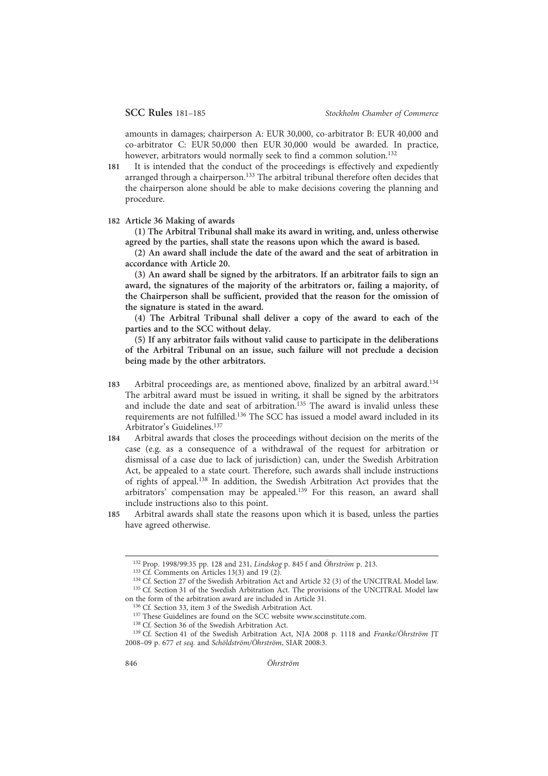amounts in damages; chairperson A: EUR 30,000, co-arbitrator B: EUR 40,000 and co-arbitrator C: EUR 50,000 then EUR 30,000 would be awarded. In practice, however, arbitrators would normally seek to find a common solution.<sup>132</sup>

- 181 It is intended that the conduct of the proceedings is effectively and expediently arranged through a chairperson.133 The arbitral tribunal therefore often decides that the chairperson alone should be able to make decisions covering the planning and procedure.
- 182 Article 36 Making of awards

(1) The Arbitral Tribunal shall make its award in writing, and, unless otherwise agreed by the parties, shall state the reasons upon which the award is based.

(2) An award shall include the date of the award and the seat of arbitration in accordance with Article 20.

(3) An award shall be signed by the arbitrators. If an arbitrator fails to sign an award, the signatures of the majority of the arbitrators or, failing a majority, of the Chairperson shall be sufficient, provided that the reason for the omission of the signature is stated in the award.

(4) The Arbitral Tribunal shall deliver a copy of the award to each of the parties and to the SCC without delay.

(5) If any arbitrator fails without valid cause to participate in the deliberations of the Arbitral Tribunal on an issue, such failure will not preclude a decision being made by the other arbitrators.

- 183 Arbitral proceedings are, as mentioned above, finalized by an arbitral award.134 The arbitral award must be issued in writing, it shall be signed by the arbitrators and include the date and seat of arbitration.<sup>135</sup> The award is invalid unless these requirements are not fulfilled.136 The SCC has issued a model award included in its Arbitrator's Guidelines.137
- 184 Arbitral awards that closes the proceedings without decision on the merits of the case (e.g. as a consequence of a withdrawal of the request for arbitration or dismissal of a case due to lack of jurisdiction) can, under the Swedish Arbitration Act, be appealed to a state court. Therefore, such awards shall include instructions of rights of appeal.138 In addition, the Swedish Arbitration Act provides that the arbitrators' compensation may be appealed.139 For this reason, an award shall include instructions also to this point.
- 185 Arbitral awards shall state the reasons upon which it is based, unless the parties have agreed otherwise.

<sup>132</sup> Prop. 1998/99:35 pp. 128 and 231, Lindskog p. 845 f and Öhrström p. 213.

 $133 \text{ Cf.}$  Comments on Articles 13(3) and 19 (2).

<sup>134</sup> Cf. Section 27 of the Swedish Arbitration Act and Article 32 (3) of the UNCITRAL Model law. <sup>135</sup> Cf. Section 31 of the Swedish Arbitration Act. The provisions of the UNCITRAL Model law on the form of the arbitration award are included in Article 31.

<sup>136</sup> Cf. Section 33, item 3 of the Swedish Arbitration Act.

<sup>&</sup>lt;sup>137</sup> These Guidelines are found on the SCC website www.sccinstitute.com.

<sup>138</sup> Cf. Section 36 of the Swedish Arbitration Act.

<sup>&</sup>lt;sup>139</sup> Cf. Section 41 of the Swedish Arbitration Act, NJA 2008 p. 1118 and Franke/Öhrström JT 2008–09 p. 677 et seq. and Schöldström/Öhrström, SIAR 2008:3.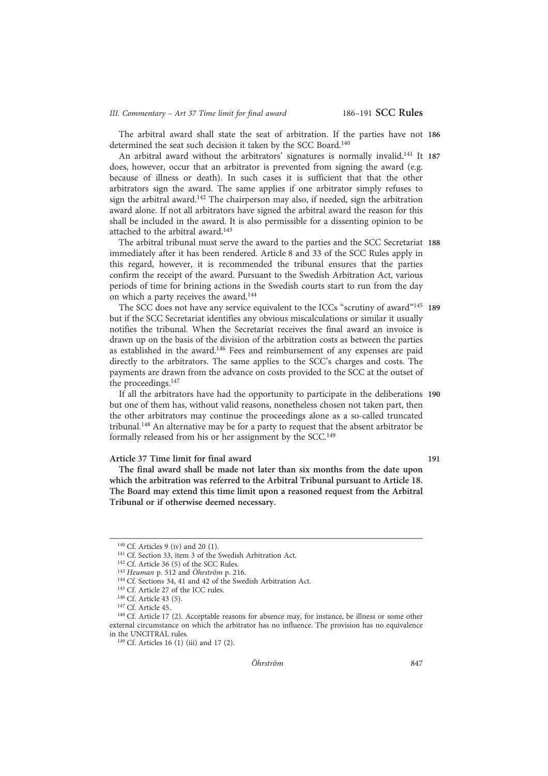# III. Commentary - Art 37 Time limit for final award 186-191 SCC Rules

The arbitral award shall state the seat of arbitration. If the parties have not 186 determined the seat such decision it taken by the SCC Board.140

An arbitral award without the arbitrators' signatures is normally invalid.<sup>141</sup> It 187 does, however, occur that an arbitrator is prevented from signing the award (e.g. because of illness or death). In such cases it is sufficient that that the other arbitrators sign the award. The same applies if one arbitrator simply refuses to sign the arbitral award.<sup>142</sup> The chairperson may also, if needed, sign the arbitration award alone. If not all arbitrators have signed the arbitral award the reason for this shall be included in the award. It is also permissible for a dissenting opinion to be attached to the arbitral award.143

The arbitral tribunal must serve the award to the parties and the SCC Secretariat 188 immediately after it has been rendered. Article 8 and 33 of the SCC Rules apply in this regard, however, it is recommended the tribunal ensures that the parties confirm the receipt of the award. Pursuant to the Swedish Arbitration Act, various periods of time for brining actions in the Swedish courts start to run from the day on which a party receives the award.144

The SCC does not have any service equivalent to the ICCs "scrutiny of award"<sup>145</sup> 189 but if the SCC Secretariat identifies any obvious miscalculations or similar it usually notifies the tribunal. When the Secretariat receives the final award an invoice is drawn up on the basis of the division of the arbitration costs as between the parties as established in the award.<sup>146</sup> Fees and reimbursement of any expenses are paid directly to the arbitrators. The same applies to the SCC's charges and costs. The payments are drawn from the advance on costs provided to the SCC at the outset of the proceedings.147

If all the arbitrators have had the opportunity to participate in the deliberations 190 but one of them has, without valid reasons, nonetheless chosen not taken part, then the other arbitrators may continue the proceedings alone as a so-called truncated tribunal.148 An alternative may be for a party to request that the absent arbitrator be formally released from his or her assignment by the SCC.<sup>149</sup>

# Article 37 Time limit for final award 191

The final award shall be made not later than six months from the date upon which the arbitration was referred to the Arbitral Tribunal pursuant to Article 18. The Board may extend this time limit upon a reasoned request from the Arbitral Tribunal or if otherwise deemed necessary.

<sup>140</sup> Cf. Articles 9 (iv) and 20 (1).

<sup>141</sup> Cf. Section 33, item 3 of the Swedish Arbitration Act.

<sup>&</sup>lt;sup>142</sup> Cf. Article 36 (5) of the SCC Rules.

 $143$  Heuman p. 512 and Öhrström p. 216.

<sup>144</sup> Cf. Sections 34, 41 and 42 of the Swedish Arbitration Act.

<sup>145</sup> Cf. Article 27 of the ICC rules.

<sup>146</sup> Cf. Article 43 (5).

<sup>147</sup> Cf. Article 45.

<sup>&</sup>lt;sup>148</sup> Cf. Article 17 (2). Acceptable reasons for absence may, for instance, be illness or some other external circumstance on which the arbitrator has no influence. The provision has no equivalence in the UNCITRAL rules.

<sup>&</sup>lt;sup>149</sup> Cf. Articles 16 (1) (iii) and 17 (2).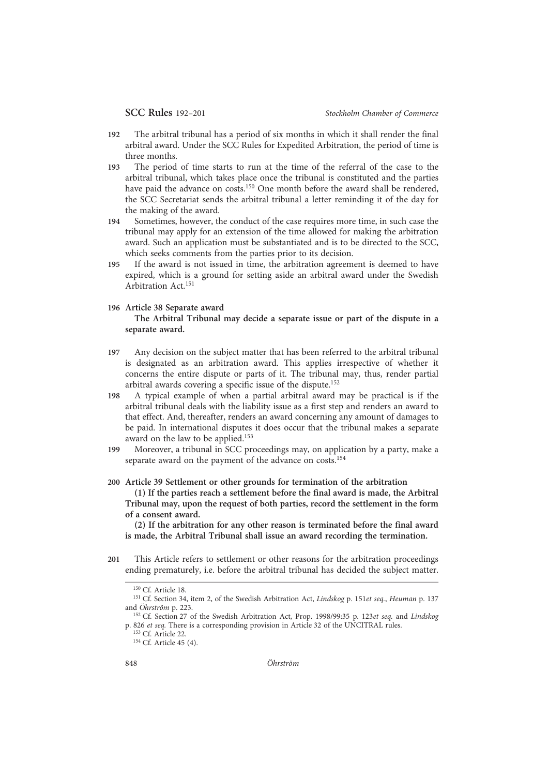- 192 The arbitral tribunal has a period of six months in which it shall render the final arbitral award. Under the SCC Rules for Expedited Arbitration, the period of time is three months.
- 193 The period of time starts to run at the time of the referral of the case to the arbitral tribunal, which takes place once the tribunal is constituted and the parties have paid the advance on costs.<sup>150</sup> One month before the award shall be rendered, the SCC Secretariat sends the arbitral tribunal a letter reminding it of the day for the making of the award.
- 194 Sometimes, however, the conduct of the case requires more time, in such case the tribunal may apply for an extension of the time allowed for making the arbitration award. Such an application must be substantiated and is to be directed to the SCC, which seeks comments from the parties prior to its decision.
- 195 If the award is not issued in time, the arbitration agreement is deemed to have expired, which is a ground for setting aside an arbitral award under the Swedish Arbitration Act.151

# 196 Article 38 Separate award

# The Arbitral Tribunal may decide a separate issue or part of the dispute in a separate award.

- 197 Any decision on the subject matter that has been referred to the arbitral tribunal is designated as an arbitration award. This applies irrespective of whether it concerns the entire dispute or parts of it. The tribunal may, thus, render partial arbitral awards covering a specific issue of the dispute.152
- 198 A typical example of when a partial arbitral award may be practical is if the arbitral tribunal deals with the liability issue as a first step and renders an award to that effect. And, thereafter, renders an award concerning any amount of damages to be paid. In international disputes it does occur that the tribunal makes a separate award on the law to be applied.153
- 199 Moreover, a tribunal in SCC proceedings may, on application by a party, make a separate award on the payment of the advance on costs.<sup>154</sup>
- 200 Article 39 Settlement or other grounds for termination of the arbitration
	- (1) If the parties reach a settlement before the final award is made, the Arbitral Tribunal may, upon the request of both parties, record the settlement in the form of a consent award.

(2) If the arbitration for any other reason is terminated before the final award is made, the Arbitral Tribunal shall issue an award recording the termination.

201 This Article refers to settlement or other reasons for the arbitration proceedings ending prematurely, i.e. before the arbitral tribunal has decided the subject matter.

<sup>150</sup> Cf. Article 18.

<sup>&</sup>lt;sup>151</sup> Cf. Section 34, item 2, of the Swedish Arbitration Act, *Lindskog p.* 151*et seq.*, *Heuman p.* 137 and Öhrström p. 223.

<sup>&</sup>lt;sup>152</sup> Cf. Section 27 of the Swedish Arbitration Act, Prop. 1998/99:35 p. 123et seq. and Lindskog p. 826 et seq. There is a corresponding provision in Article 32 of the UNCITRAL rules.

<sup>153</sup> Cf. Article 22.

<sup>&</sup>lt;sup>154</sup> Cf. Article 45 (4).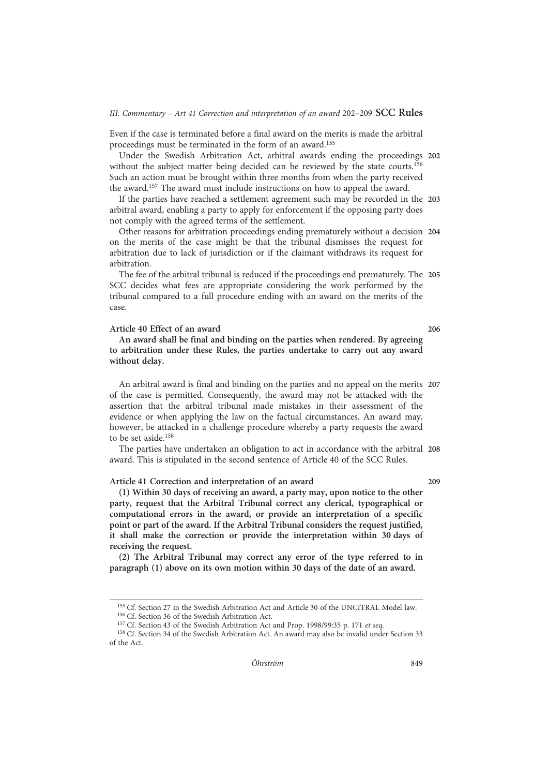#### III. Commentary – Art 41 Correction and interpretation of an award 202–209  $SCC$  Rules

Even if the case is terminated before a final award on the merits is made the arbitral proceedings must be terminated in the form of an award.155

Under the Swedish Arbitration Act, arbitral awards ending the proceedings 202 without the subject matter being decided can be reviewed by the state courts.<sup>156</sup> Such an action must be brought within three months from when the party received the award.<sup>157</sup> The award must include instructions on how to appeal the award.

If the parties have reached a settlement agreement such may be recorded in the 203 arbitral award, enabling a party to apply for enforcement if the opposing party does not comply with the agreed terms of the settlement.

Other reasons for arbitration proceedings ending prematurely without a decision 204 on the merits of the case might be that the tribunal dismisses the request for arbitration due to lack of jurisdiction or if the claimant withdraws its request for arbitration.

The fee of the arbitral tribunal is reduced if the proceedings end prematurely. The 205 SCC decides what fees are appropriate considering the work performed by the tribunal compared to a full procedure ending with an award on the merits of the case.

# Article 40 Effect of an award 206

An award shall be final and binding on the parties when rendered. By agreeing to arbitration under these Rules, the parties undertake to carry out any award without delay.

An arbitral award is final and binding on the parties and no appeal on the merits 207 of the case is permitted. Consequently, the award may not be attacked with the assertion that the arbitral tribunal made mistakes in their assessment of the evidence or when applying the law on the factual circumstances. An award may, however, be attacked in a challenge procedure whereby a party requests the award to be set aside.158

The parties have undertaken an obligation to act in accordance with the arbitral 208 award. This is stipulated in the second sentence of Article 40 of the SCC Rules.

# Article 41 Correction and interpretation of an award 209

(1) Within 30 days of receiving an award, a party may, upon notice to the other party, request that the Arbitral Tribunal correct any clerical, typographical or computational errors in the award, or provide an interpretation of a specific point or part of the award. If the Arbitral Tribunal considers the request justified, it shall make the correction or provide the interpretation within 30 days of receiving the request.

(2) The Arbitral Tribunal may correct any error of the type referred to in paragraph (1) above on its own motion within 30 days of the date of an award.

<sup>155</sup> Cf. Section 27 in the Swedish Arbitration Act and Article 30 of the UNCITRAL Model law.

<sup>156</sup> Cf. Section 36 of the Swedish Arbitration Act.

<sup>&</sup>lt;sup>157</sup> Cf. Section 43 of the Swedish Arbitration Act and Prop. 1998/99:35 p. 171 et seq.

<sup>158</sup> Cf. Section 34 of the Swedish Arbitration Act. An award may also be invalid under Section 33 of the Act.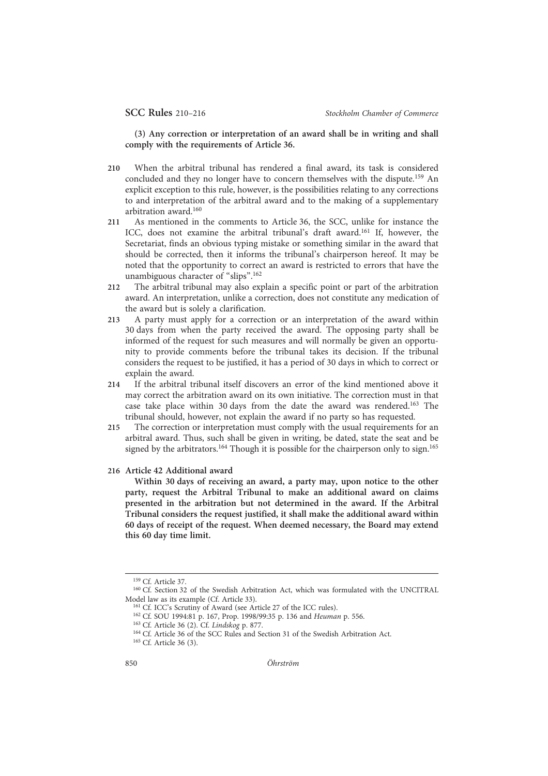(3) Any correction or interpretation of an award shall be in writing and shall comply with the requirements of Article 36.

- 210 When the arbitral tribunal has rendered a final award, its task is considered concluded and they no longer have to concern themselves with the dispute.<sup>159</sup> An explicit exception to this rule, however, is the possibilities relating to any corrections to and interpretation of the arbitral award and to the making of a supplementary arbitration award.160
- 211 As mentioned in the comments to Article 36, the SCC, unlike for instance the ICC, does not examine the arbitral tribunal's draft award.<sup>161</sup> If, however, the Secretariat, finds an obvious typing mistake or something similar in the award that should be corrected, then it informs the tribunal's chairperson hereof. It may be noted that the opportunity to correct an award is restricted to errors that have the unambiguous character of "slips". 162
- 212 The arbitral tribunal may also explain a specific point or part of the arbitration award. An interpretation, unlike a correction, does not constitute any medication of the award but is solely a clarification.
- 213 A party must apply for a correction or an interpretation of the award within 30 days from when the party received the award. The opposing party shall be informed of the request for such measures and will normally be given an opportunity to provide comments before the tribunal takes its decision. If the tribunal considers the request to be justified, it has a period of 30 days in which to correct or explain the award.
- 214 If the arbitral tribunal itself discovers an error of the kind mentioned above it may correct the arbitration award on its own initiative. The correction must in that case take place within 30 days from the date the award was rendered.163 The tribunal should, however, not explain the award if no party so has requested.
- 215 The correction or interpretation must comply with the usual requirements for an arbitral award. Thus, such shall be given in writing, be dated, state the seat and be signed by the arbitrators.<sup>164</sup> Though it is possible for the chairperson only to sign.<sup>165</sup>
- 216 Article 42 Additional award

Within 30 days of receiving an award, a party may, upon notice to the other party, request the Arbitral Tribunal to make an additional award on claims presented in the arbitration but not determined in the award. If the Arbitral Tribunal considers the request justified, it shall make the additional award within 60 days of receipt of the request. When deemed necessary, the Board may extend this 60 day time limit.

<sup>159</sup> Cf. Article 37.

<sup>160</sup> Cf. Section 32 of the Swedish Arbitration Act, which was formulated with the UNCITRAL Model law as its example (Cf. Article 33).

<sup>161</sup> Cf. ICC's Scrutiny of Award (see Article 27 of the ICC rules).

<sup>&</sup>lt;sup>162</sup> Cf. SOU 1994:81 p. 167, Prop. 1998/99:35 p. 136 and Heuman p. 556.

<sup>163</sup> Cf. Article 36 (2). Cf. Lindskog p. 877.

<sup>&</sup>lt;sup>164</sup> Cf. Article 36 of the SCC Rules and Section 31 of the Swedish Arbitration Act.

<sup>165</sup> Cf. Article 36 (3).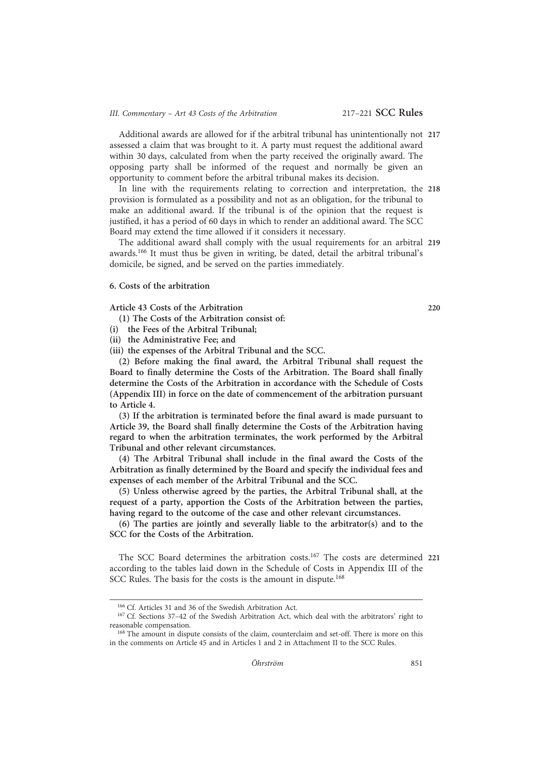# III. Commentary - Art 43 Costs of the Arbitration 217-221 SCC Rules

Additional awards are allowed for if the arbitral tribunal has unintentionally not 217 assessed a claim that was brought to it. A party must request the additional award within 30 days, calculated from when the party received the originally award. The opposing party shall be informed of the request and normally be given an opportunity to comment before the arbitral tribunal makes its decision.

In line with the requirements relating to correction and interpretation, the 218 provision is formulated as a possibility and not as an obligation, for the tribunal to make an additional award. If the tribunal is of the opinion that the request is justified, it has a period of 60 days in which to render an additional award. The SCC Board may extend the time allowed if it considers it necessary.

The additional award shall comply with the usual requirements for an arbitral 219 awards.166 It must thus be given in writing, be dated, detail the arbitral tribunal's domicile, be signed, and be served on the parties immediately.

#### 6. Costs of the arbitration

Article 43 Costs of the Arbitration 220

(1) The Costs of the Arbitration consist of:

- (i) the Fees of the Arbitral Tribunal;
- (ii) the Administrative Fee; and
- (iii) the expenses of the Arbitral Tribunal and the SCC.

(2) Before making the final award, the Arbitral Tribunal shall request the Board to finally determine the Costs of the Arbitration. The Board shall finally determine the Costs of the Arbitration in accordance with the Schedule of Costs (Appendix III) in force on the date of commencement of the arbitration pursuant to Article 4.

(3) If the arbitration is terminated before the final award is made pursuant to Article 39, the Board shall finally determine the Costs of the Arbitration having regard to when the arbitration terminates, the work performed by the Arbitral Tribunal and other relevant circumstances.

(4) The Arbitral Tribunal shall include in the final award the Costs of the Arbitration as finally determined by the Board and specify the individual fees and expenses of each member of the Arbitral Tribunal and the SCC.

(5) Unless otherwise agreed by the parties, the Arbitral Tribunal shall, at the request of a party, apportion the Costs of the Arbitration between the parties, having regard to the outcome of the case and other relevant circumstances.

(6) The parties are jointly and severally liable to the arbitrator(s) and to the SCC for the Costs of the Arbitration.

The SCC Board determines the arbitration costs.<sup>167</sup> The costs are determined 221 according to the tables laid down in the Schedule of Costs in Appendix III of the SCC Rules. The basis for the costs is the amount in dispute.<sup>168</sup>

<sup>166</sup> Cf. Articles 31 and 36 of the Swedish Arbitration Act.

<sup>&</sup>lt;sup>167</sup> Cf. Sections 37-42 of the Swedish Arbitration Act, which deal with the arbitrators' right to reasonable compensation.

<sup>&</sup>lt;sup>168</sup> The amount in dispute consists of the claim, counterclaim and set-off. There is more on this in the comments on Article 45 and in Articles 1 and 2 in Attachment II to the SCC Rules.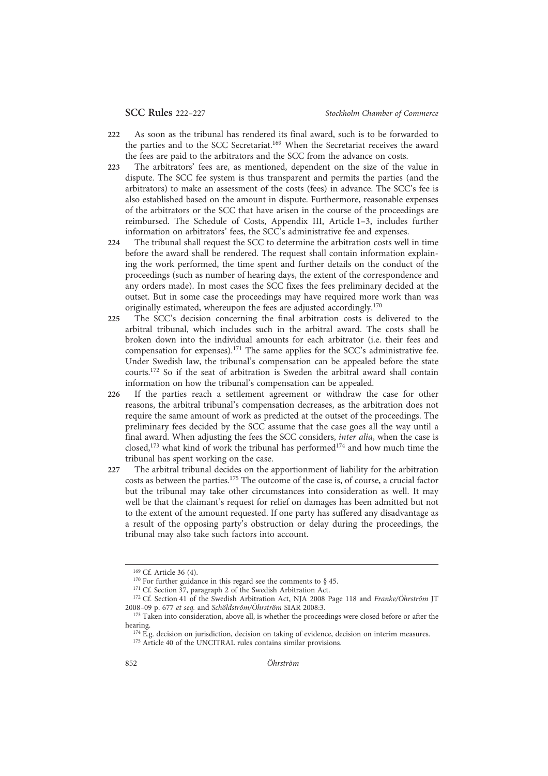- 222 As soon as the tribunal has rendered its final award, such is to be forwarded to the parties and to the SCC Secretariat.169 When the Secretariat receives the award the fees are paid to the arbitrators and the SCC from the advance on costs.
- 223 The arbitrators' fees are, as mentioned, dependent on the size of the value in dispute. The SCC fee system is thus transparent and permits the parties (and the arbitrators) to make an assessment of the costs (fees) in advance. The SCC's fee is also established based on the amount in dispute. Furthermore, reasonable expenses of the arbitrators or the SCC that have arisen in the course of the proceedings are reimbursed. The Schedule of Costs, Appendix III, Article 1–3, includes further information on arbitrators' fees, the SCC's administrative fee and expenses.
- 224 The tribunal shall request the SCC to determine the arbitration costs well in time before the award shall be rendered. The request shall contain information explaining the work performed, the time spent and further details on the conduct of the proceedings (such as number of hearing days, the extent of the correspondence and any orders made). In most cases the SCC fixes the fees preliminary decided at the outset. But in some case the proceedings may have required more work than was originally estimated, whereupon the fees are adjusted accordingly.170
- 225 The SCC's decision concerning the final arbitration costs is delivered to the arbitral tribunal, which includes such in the arbitral award. The costs shall be broken down into the individual amounts for each arbitrator (i.e. their fees and compensation for expenses).171 The same applies for the SCC's administrative fee. Under Swedish law, the tribunal's compensation can be appealed before the state courts.172 So if the seat of arbitration is Sweden the arbitral award shall contain information on how the tribunal's compensation can be appealed.
- 226 If the parties reach a settlement agreement or withdraw the case for other reasons, the arbitral tribunal's compensation decreases, as the arbitration does not require the same amount of work as predicted at the outset of the proceedings. The preliminary fees decided by the SCC assume that the case goes all the way until a final award. When adjusting the fees the SCC considers, inter alia, when the case is closed,<sup>173</sup> what kind of work the tribunal has performed<sup>174</sup> and how much time the tribunal has spent working on the case.
- 227 The arbitral tribunal decides on the apportionment of liability for the arbitration costs as between the parties.175 The outcome of the case is, of course, a crucial factor but the tribunal may take other circumstances into consideration as well. It may well be that the claimant's request for relief on damages has been admitted but not to the extent of the amount requested. If one party has suffered any disadvantage as a result of the opposing party's obstruction or delay during the proceedings, the tribunal may also take such factors into account.

<sup>169</sup> Cf. Article 36 (4).

<sup>&</sup>lt;sup>170</sup> For further guidance in this regard see the comments to  $\S$  45.

<sup>&</sup>lt;sup>171</sup> Cf. Section 37, paragraph 2 of the Swedish Arbitration Act.

<sup>&</sup>lt;sup>172</sup> Cf. Section 41 of the Swedish Arbitration Act, NJA 2008 Page 118 and Franke/Öhrström JT 2008–09 p. 677 et seq. and Schöldström/Öhrström SIAR 2008:3.

<sup>&</sup>lt;sup>173</sup> Taken into consideration, above all, is whether the proceedings were closed before or after the hearing.

 $174$  E.g. decision on jurisdiction, decision on taking of evidence, decision on interim measures. <sup>175</sup> Article 40 of the UNCITRAL rules contains similar provisions.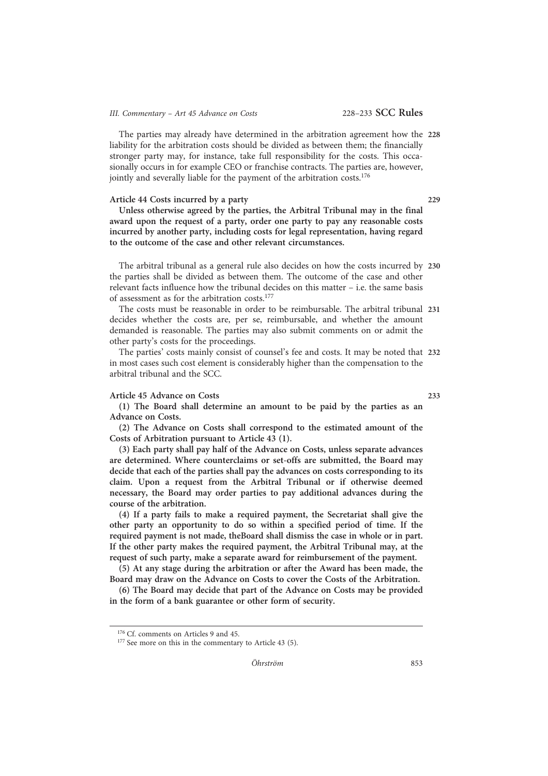# III. Commentary - Art 45 Advance on Costs 228-233 SCC Rules

The parties may already have determined in the arbitration agreement how the 228 liability for the arbitration costs should be divided as between them; the financially stronger party may, for instance, take full responsibility for the costs. This occasionally occurs in for example CEO or franchise contracts. The parties are, however, jointly and severally liable for the payment of the arbitration costs.<sup>176</sup>

#### Article 44 Costs incurred by a party 229

Unless otherwise agreed by the parties, the Arbitral Tribunal may in the final award upon the request of a party, order one party to pay any reasonable costs incurred by another party, including costs for legal representation, having regard to the outcome of the case and other relevant circumstances.

The arbitral tribunal as a general rule also decides on how the costs incurred by 230 the parties shall be divided as between them. The outcome of the case and other relevant facts influence how the tribunal decides on this matter – i.e. the same basis of assessment as for the arbitration costs.<sup>177</sup>

The costs must be reasonable in order to be reimbursable. The arbitral tribunal 231 decides whether the costs are, per se, reimbursable, and whether the amount demanded is reasonable. The parties may also submit comments on or admit the other party's costs for the proceedings.

The parties' costs mainly consist of counsel's fee and costs. It may be noted that 232 in most cases such cost element is considerably higher than the compensation to the arbitral tribunal and the SCC.

# Article 45 Advance on Costs 233

(1) The Board shall determine an amount to be paid by the parties as an Advance on Costs.

(2) The Advance on Costs shall correspond to the estimated amount of the Costs of Arbitration pursuant to Article 43 (1).

(3) Each party shall pay half of the Advance on Costs, unless separate advances are determined. Where counterclaims or set-offs are submitted, the Board may decide that each of the parties shall pay the advances on costs corresponding to its claim. Upon a request from the Arbitral Tribunal or if otherwise deemed necessary, the Board may order parties to pay additional advances during the course of the arbitration.

(4) If a party fails to make a required payment, the Secretariat shall give the other party an opportunity to do so within a specified period of time. If the required payment is not made, theBoard shall dismiss the case in whole or in part. If the other party makes the required payment, the Arbitral Tribunal may, at the request of such party, make a separate award for reimbursement of the payment.

(5) At any stage during the arbitration or after the Award has been made, the Board may draw on the Advance on Costs to cover the Costs of the Arbitration.

(6) The Board may decide that part of the Advance on Costs may be provided in the form of a bank guarantee or other form of security.

<sup>&</sup>lt;sup>176</sup> Cf. comments on Articles 9 and 45.

<sup>&</sup>lt;sup>177</sup> See more on this in the commentary to Article 43 (5).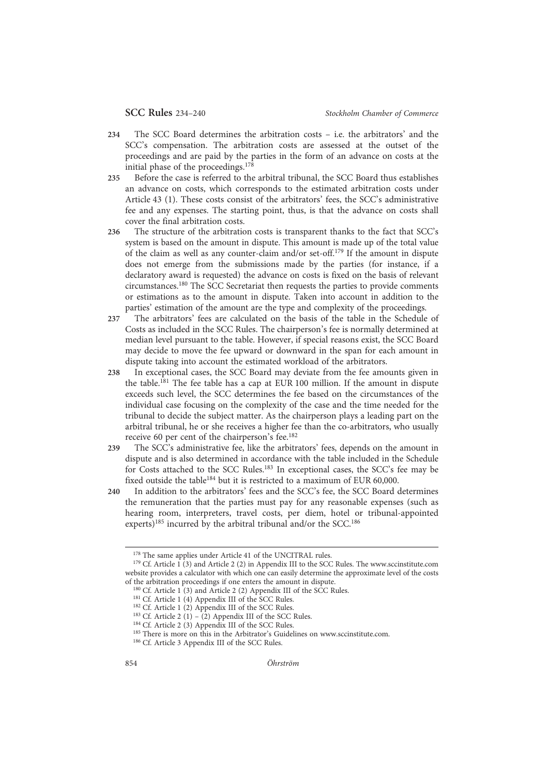- 234 The SCC Board determines the arbitration costs i.e. the arbitrators' and the SCC's compensation. The arbitration costs are assessed at the outset of the proceedings and are paid by the parties in the form of an advance on costs at the initial phase of the proceedings.<sup>178</sup>
- 235 Before the case is referred to the arbitral tribunal, the SCC Board thus establishes an advance on costs, which corresponds to the estimated arbitration costs under Article 43 (1). These costs consist of the arbitrators' fees, the SCC's administrative fee and any expenses. The starting point, thus, is that the advance on costs shall cover the final arbitration costs.
- 236 The structure of the arbitration costs is transparent thanks to the fact that SCC's system is based on the amount in dispute. This amount is made up of the total value of the claim as well as any counter-claim and/or set-off.<sup>179</sup> If the amount in dispute does not emerge from the submissions made by the parties (for instance, if a declaratory award is requested) the advance on costs is fixed on the basis of relevant circumstances.180 The SCC Secretariat then requests the parties to provide comments or estimations as to the amount in dispute. Taken into account in addition to the parties' estimation of the amount are the type and complexity of the proceedings.
- 237 The arbitrators' fees are calculated on the basis of the table in the Schedule of Costs as included in the SCC Rules. The chairperson's fee is normally determined at median level pursuant to the table. However, if special reasons exist, the SCC Board may decide to move the fee upward or downward in the span for each amount in dispute taking into account the estimated workload of the arbitrators.
- 238 In exceptional cases, the SCC Board may deviate from the fee amounts given in the table.<sup>181</sup> The fee table has a cap at EUR 100 million. If the amount in dispute exceeds such level, the SCC determines the fee based on the circumstances of the individual case focusing on the complexity of the case and the time needed for the tribunal to decide the subject matter. As the chairperson plays a leading part on the arbitral tribunal, he or she receives a higher fee than the co-arbitrators, who usually receive 60 per cent of the chairperson's fee.182
- 239 The SCC's administrative fee, like the arbitrators' fees, depends on the amount in dispute and is also determined in accordance with the table included in the Schedule for Costs attached to the SCC Rules.<sup>183</sup> In exceptional cases, the SCC's fee may be fixed outside the table<sup>184</sup> but it is restricted to a maximum of EUR 60,000.
- 240 In addition to the arbitrators' fees and the SCC's fee, the SCC Board determines the remuneration that the parties must pay for any reasonable expenses (such as hearing room, interpreters, travel costs, per diem, hotel or tribunal-appointed experts)<sup>185</sup> incurred by the arbitral tribunal and/or the SCC.<sup>186</sup>

<sup>178</sup> The same applies under Article 41 of the UNCITRAL rules.

 $179$  Cf. Article 1 (3) and Article 2 (2) in Appendix III to the SCC Rules. The www.sccinstitute.com website provides a calculator with which one can easily determine the approximate level of the costs of the arbitration proceedings if one enters the amount in dispute.

 $180$  Cf. Article 1 (3) and Article 2 (2) Appendix III of the SCC Rules.

<sup>181</sup> Cf. Article 1 (4) Appendix III of the SCC Rules.

<sup>&</sup>lt;sup>182</sup> Cf. Article 1 (2) Appendix III of the SCC Rules.

<sup>&</sup>lt;sup>183</sup> Cf. Article 2 (1) – (2) Appendix III of the SCC Rules.

<sup>184</sup> Cf. Article 2 (3) Appendix III of the SCC Rules.

<sup>&</sup>lt;sup>185</sup> There is more on this in the Arbitrator's Guidelines on www.sccinstitute.com.

<sup>186</sup> Cf. Article 3 Appendix III of the SCC Rules.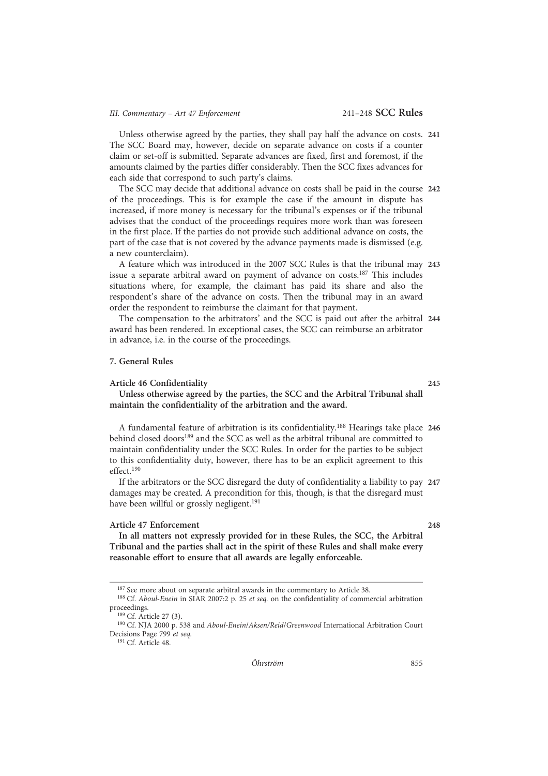Unless otherwise agreed by the parties, they shall pay half the advance on costs. 241 The SCC Board may, however, decide on separate advance on costs if a counter claim or set-off is submitted. Separate advances are fixed, first and foremost, if the amounts claimed by the parties differ considerably. Then the SCC fixes advances for each side that correspond to such party's claims.

The SCC may decide that additional advance on costs shall be paid in the course 242 of the proceedings. This is for example the case if the amount in dispute has increased, if more money is necessary for the tribunal's expenses or if the tribunal advises that the conduct of the proceedings requires more work than was foreseen in the first place. If the parties do not provide such additional advance on costs, the part of the case that is not covered by the advance payments made is dismissed (e.g. a new counterclaim).

A feature which was introduced in the 2007 SCC Rules is that the tribunal may 243 issue a separate arbitral award on payment of advance on costs.<sup>187</sup> This includes situations where, for example, the claimant has paid its share and also the respondent's share of the advance on costs. Then the tribunal may in an award order the respondent to reimburse the claimant for that payment.

The compensation to the arbitrators' and the SCC is paid out after the arbitral 244 award has been rendered. In exceptional cases, the SCC can reimburse an arbitrator in advance, i.e. in the course of the proceedings.

# 7. General Rules

#### Article 46 Confidentiality 245

Unless otherwise agreed by the parties, the SCC and the Arbitral Tribunal shall maintain the confidentiality of the arbitration and the award.

A fundamental feature of arbitration is its confidentiality.<sup>188</sup> Hearings take place 246 behind closed doors<sup>189</sup> and the SCC as well as the arbitral tribunal are committed to maintain confidentiality under the SCC Rules. In order for the parties to be subject to this confidentiality duty, however, there has to be an explicit agreement to this effect<sup>190</sup>

If the arbitrators or the SCC disregard the duty of confidentiality a liability to pay 247 damages may be created. A precondition for this, though, is that the disregard must have been willful or grossly negligent.<sup>191</sup>

# Article 47 Enforcement 248

In all matters not expressly provided for in these Rules, the SCC, the Arbitral Tribunal and the parties shall act in the spirit of these Rules and shall make every reasonable effort to ensure that all awards are legally enforceable.

<sup>191</sup> Cf. Article 48.

<sup>&</sup>lt;sup>187</sup> See more about on separate arbitral awards in the commentary to Article 38.

<sup>&</sup>lt;sup>188</sup> Cf. Aboul-Enein in SIAR 2007:2 p. 25 et seq. on the confidentiality of commercial arbitration proceedings.

<sup>189</sup> Cf. Article 27 (3).

<sup>190</sup> Cf. NJA 2000 p. 538 and Aboul-Enein/Aksen/Reid/Greenwood International Arbitration Court Decisions Page 799 et seq.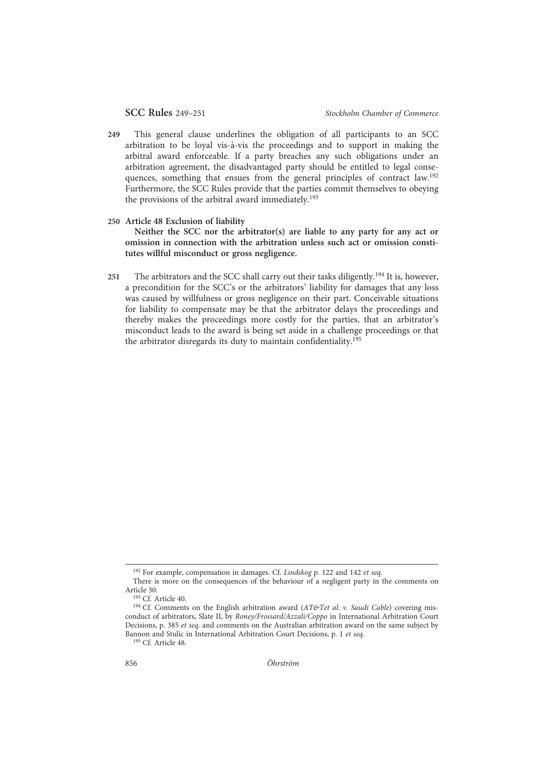- 249 This general clause underlines the obligation of all participants to an SCC arbitration to be loyal vis-à-vis the proceedings and to support in making the arbitral award enforceable. If a party breaches any such obligations under an arbitration agreement, the disadvantaged party should be entitled to legal consequences, something that ensues from the general principles of contract law.192 Furthermore, the SCC Rules provide that the parties commit themselves to obeying the provisions of the arbitral award immediately.<sup>193</sup>
- 250 Article 48 Exclusion of liability

Neither the SCC nor the arbitrator(s) are liable to any party for any act or omission in connection with the arbitration unless such act or omission constitutes willful misconduct or gross negligence.

251 The arbitrators and the SCC shall carry out their tasks diligently.<sup>194</sup> It is, however, a precondition for the SCC's or the arbitrators' liability for damages that any loss was caused by willfulness or gross negligence on their part. Conceivable situations for liability to compensate may be that the arbitrator delays the proceedings and thereby makes the proceedings more costly for the parties, that an arbitrator's misconduct leads to the award is being set aside in a challenge proceedings or that the arbitrator disregards its duty to maintain confidentiality.<sup>195</sup>

<sup>&</sup>lt;sup>192</sup> For example, compensation in damages. Cf. Lindskog p. 122 and 142 et seq.

There is more on the consequences of the behaviour of a negligent party in the comments on Article 30.

<sup>193</sup> Cf. Article 40.

<sup>&</sup>lt;sup>194</sup> Cf. Comments on the English arbitration award (AT&Tet al. v. Saudi Cable) covering misconduct of arbitrators, Slate II, by Roney/Frossard/Azzali/Coppo in International Arbitration Court Decisions, p. 385 et seq. and comments on the Australian arbitration award on the same subject by Bannon and Stulic in International Arbitration Court Decisions, p. 1 et seq.

<sup>195</sup> Cf. Article 48.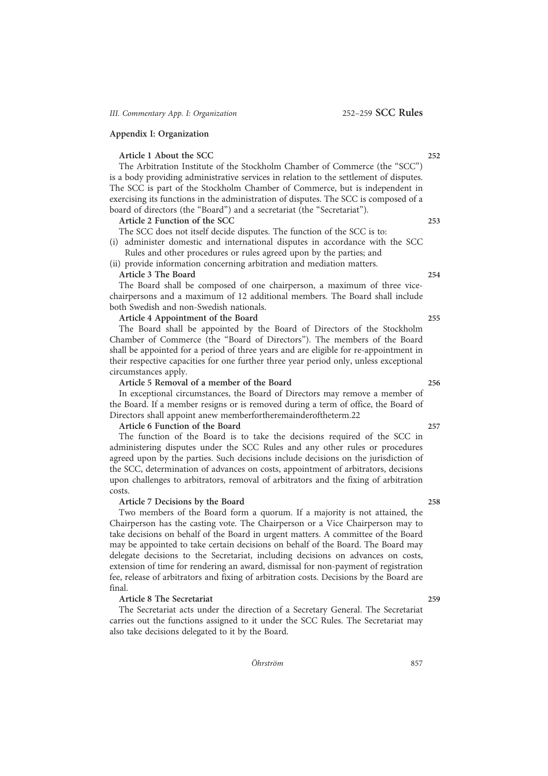# Appendix I: Organization

# Article 1 About the SCC 252

The Arbitration Institute of the Stockholm Chamber of Commerce (the "SCC") is a body providing administrative services in relation to the settlement of disputes. The SCC is part of the Stockholm Chamber of Commerce, but is independent in exercising its functions in the administration of disputes. The SCC is composed of a board of directors (the "Board") and a secretariat (the "Secretariat").

Article 2 Function of the SCC 253

The SCC does not itself decide disputes. The function of the SCC is to:

(i) administer domestic and international disputes in accordance with the SCC Rules and other procedures or rules agreed upon by the parties; and

(ii) provide information concerning arbitration and mediation matters.

### Article 3 The Board 254

The Board shall be composed of one chairperson, a maximum of three vicechairpersons and a maximum of 12 additional members. The Board shall include both Swedish and non-Swedish nationals.

# Article 4 Appointment of the Board 255

The Board shall be appointed by the Board of Directors of the Stockholm Chamber of Commerce (the "Board of Directors"). The members of the Board shall be appointed for a period of three years and are eligible for re-appointment in their respective capacities for one further three year period only, unless exceptional circumstances apply.

### Article 5 Removal of a member of the Board 256

In exceptional circumstances, the Board of Directors may remove a member of the Board. If a member resigns or is removed during a term of office, the Board of Directors shall appoint anew memberfortheremainderoftheterm.22

#### Article 6 Function of the Board 257

The function of the Board is to take the decisions required of the SCC in administering disputes under the SCC Rules and any other rules or procedures agreed upon by the parties. Such decisions include decisions on the jurisdiction of the SCC, determination of advances on costs, appointment of arbitrators, decisions upon challenges to arbitrators, removal of arbitrators and the fixing of arbitration costs.

# Article 7 Decisions by the Board 258

Two members of the Board form a quorum. If a majority is not attained, the Chairperson has the casting vote. The Chairperson or a Vice Chairperson may to take decisions on behalf of the Board in urgent matters. A committee of the Board may be appointed to take certain decisions on behalf of the Board. The Board may delegate decisions to the Secretariat, including decisions on advances on costs, extension of time for rendering an award, dismissal for non-payment of registration fee, release of arbitrators and fixing of arbitration costs. Decisions by the Board are final.

# Article 8 The Secretariat 259

The Secretariat acts under the direction of a Secretary General. The Secretariat carries out the functions assigned to it under the SCC Rules. The Secretariat may also take decisions delegated to it by the Board.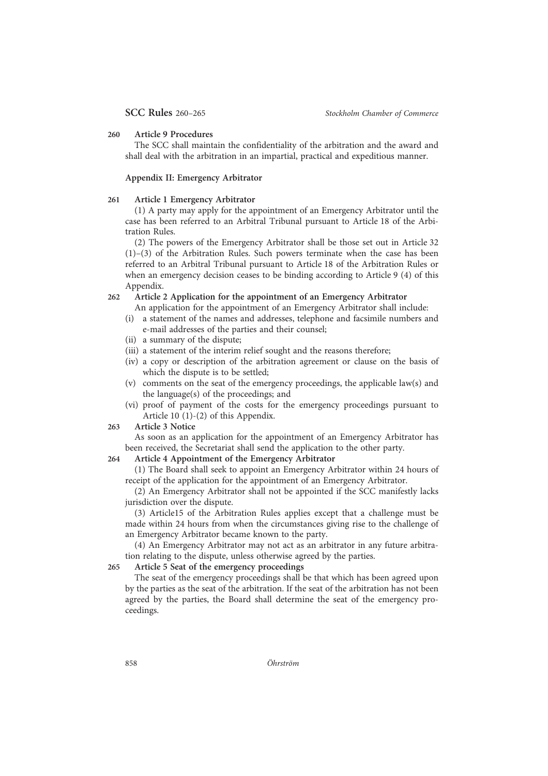#### 260 Article 9 Procedures

The SCC shall maintain the confidentiality of the arbitration and the award and shall deal with the arbitration in an impartial, practical and expeditious manner.

#### Appendix II: Emergency Arbitrator

# 261 Article 1 Emergency Arbitrator

(1) A party may apply for the appointment of an Emergency Arbitrator until the case has been referred to an Arbitral Tribunal pursuant to Article 18 of the Arbitration Rules.

(2) The powers of the Emergency Arbitrator shall be those set out in Article 32 (1)–(3) of the Arbitration Rules. Such powers terminate when the case has been referred to an Arbitral Tribunal pursuant to Article 18 of the Arbitration Rules or when an emergency decision ceases to be binding according to Article 9 (4) of this Appendix.

# 262 Article 2 Application for the appointment of an Emergency Arbitrator

- An application for the appointment of an Emergency Arbitrator shall include:
- (i) a statement of the names and addresses, telephone and facsimile numbers and e-mail addresses of the parties and their counsel;
- (ii) a summary of the dispute;
- (iii) a statement of the interim relief sought and the reasons therefore;
- (iv) a copy or description of the arbitration agreement or clause on the basis of which the dispute is to be settled;
- (v) comments on the seat of the emergency proceedings, the applicable law(s) and the language(s) of the proceedings; and
- (vi) proof of payment of the costs for the emergency proceedings pursuant to Article 10 (1)-(2) of this Appendix.
- 263 Article 3 Notice

As soon as an application for the appointment of an Emergency Arbitrator has been received, the Secretariat shall send the application to the other party.

# 264 Article 4 Appointment of the Emergency Arbitrator

(1) The Board shall seek to appoint an Emergency Arbitrator within 24 hours of receipt of the application for the appointment of an Emergency Arbitrator.

(2) An Emergency Arbitrator shall not be appointed if the SCC manifestly lacks jurisdiction over the dispute.

(3) Article15 of the Arbitration Rules applies except that a challenge must be made within 24 hours from when the circumstances giving rise to the challenge of an Emergency Arbitrator became known to the party.

(4) An Emergency Arbitrator may not act as an arbitrator in any future arbitration relating to the dispute, unless otherwise agreed by the parties.

# 265 Article 5 Seat of the emergency proceedings

The seat of the emergency proceedings shall be that which has been agreed upon by the parties as the seat of the arbitration. If the seat of the arbitration has not been agreed by the parties, the Board shall determine the seat of the emergency proceedings.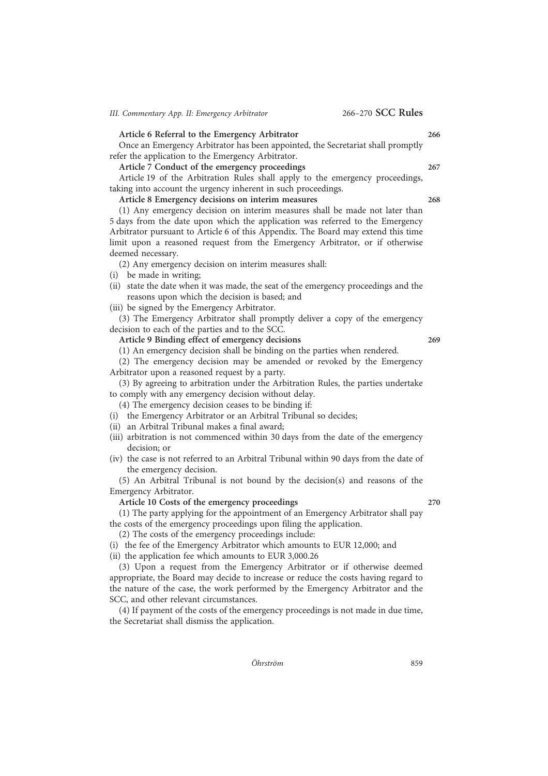# Article 6 Referral to the Emergency Arbitrator 266

Once an Emergency Arbitrator has been appointed, the Secretariat shall promptly refer the application to the Emergency Arbitrator.

Article 7 Conduct of the emergency proceedings 267

Article 19 of the Arbitration Rules shall apply to the emergency proceedings, taking into account the urgency inherent in such proceedings.

Article 8 Emergency decisions on interim measures 268

(1) Any emergency decision on interim measures shall be made not later than 5 days from the date upon which the application was referred to the Emergency Arbitrator pursuant to Article 6 of this Appendix. The Board may extend this time limit upon a reasoned request from the Emergency Arbitrator, or if otherwise deemed necessary.

(2) Any emergency decision on interim measures shall:

(i) be made in writing;

(ii) state the date when it was made, the seat of the emergency proceedings and the reasons upon which the decision is based; and

(iii) be signed by the Emergency Arbitrator.

(3) The Emergency Arbitrator shall promptly deliver a copy of the emergency decision to each of the parties and to the SCC.

Article 9 Binding effect of emergency decisions 269

(1) An emergency decision shall be binding on the parties when rendered.

(2) The emergency decision may be amended or revoked by the Emergency Arbitrator upon a reasoned request by a party.

(3) By agreeing to arbitration under the Arbitration Rules, the parties undertake to comply with any emergency decision without delay.

(4) The emergency decision ceases to be binding if:

- (i) the Emergency Arbitrator or an Arbitral Tribunal so decides;
- (ii) an Arbitral Tribunal makes a final award;
- (iii) arbitration is not commenced within 30 days from the date of the emergency decision; or
- (iv) the case is not referred to an Arbitral Tribunal within 90 days from the date of the emergency decision.

(5) An Arbitral Tribunal is not bound by the decision(s) and reasons of the Emergency Arbitrator.

Article 10 Costs of the emergency proceedings 270

(1) The party applying for the appointment of an Emergency Arbitrator shall pay the costs of the emergency proceedings upon filing the application.

(2) The costs of the emergency proceedings include:

(i) the fee of the Emergency Arbitrator which amounts to EUR 12,000; and

(ii) the application fee which amounts to EUR 3,000.26

(3) Upon a request from the Emergency Arbitrator or if otherwise deemed appropriate, the Board may decide to increase or reduce the costs having regard to the nature of the case, the work performed by the Emergency Arbitrator and the SCC, and other relevant circumstances.

(4) If payment of the costs of the emergency proceedings is not made in due time, the Secretariat shall dismiss the application.

 $\ddot{O}h$ rström 859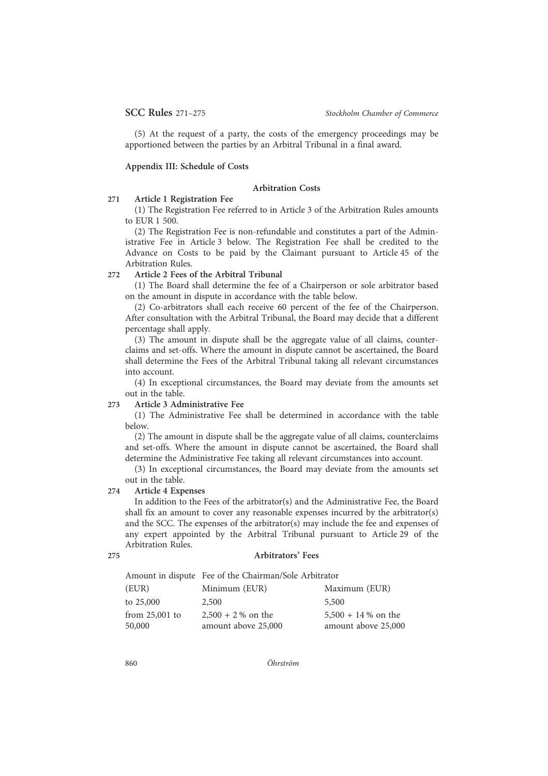(5) At the request of a party, the costs of the emergency proceedings may be apportioned between the parties by an Arbitral Tribunal in a final award.

# Appendix III: Schedule of Costs

# Arbitration Costs

# 271 Article 1 Registration Fee

(1) The Registration Fee referred to in Article 3 of the Arbitration Rules amounts to EUR 1 500.

(2) The Registration Fee is non-refundable and constitutes a part of the Administrative Fee in Article 3 below. The Registration Fee shall be credited to the Advance on Costs to be paid by the Claimant pursuant to Article 45 of the Arbitration Rules.

# 272 Article 2 Fees of the Arbitral Tribunal

(1) The Board shall determine the fee of a Chairperson or sole arbitrator based on the amount in dispute in accordance with the table below.

(2) Co-arbitrators shall each receive 60 percent of the fee of the Chairperson. After consultation with the Arbitral Tribunal, the Board may decide that a different percentage shall apply.

(3) The amount in dispute shall be the aggregate value of all claims, counterclaims and set-offs. Where the amount in dispute cannot be ascertained, the Board shall determine the Fees of the Arbitral Tribunal taking all relevant circumstances into account.

(4) In exceptional circumstances, the Board may deviate from the amounts set out in the table.

# 273 Article 3 Administrative Fee

(1) The Administrative Fee shall be determined in accordance with the table below.

(2) The amount in dispute shall be the aggregate value of all claims, counterclaims and set-offs. Where the amount in dispute cannot be ascertained, the Board shall determine the Administrative Fee taking all relevant circumstances into account.

(3) In exceptional circumstances, the Board may deviate from the amounts set out in the table.

# 274 Article 4 Expenses

In addition to the Fees of the arbitrator(s) and the Administrative Fee, the Board shall fix an amount to cover any reasonable expenses incurred by the arbitrator(s) and the SCC. The expenses of the arbitrator(s) may include the fee and expenses of any expert appointed by the Arbitral Tribunal pursuant to Article 29 of the Arbitration Rules.

#### 275 Arbitrators' Fees

|                            | Amount in dispute Fee of the Chairman/Sole Arbitrator |                                              |
|----------------------------|-------------------------------------------------------|----------------------------------------------|
| (EUR)                      | Minimum (EUR)                                         | Maximum (EUR)                                |
| to 25,000                  | 2,500                                                 | 5,500                                        |
| from $25,001$ to<br>50,000 | $2,500 + 2\%$ on the<br>amount above 25,000           | $5,500 + 14\%$ on the<br>amount above 25,000 |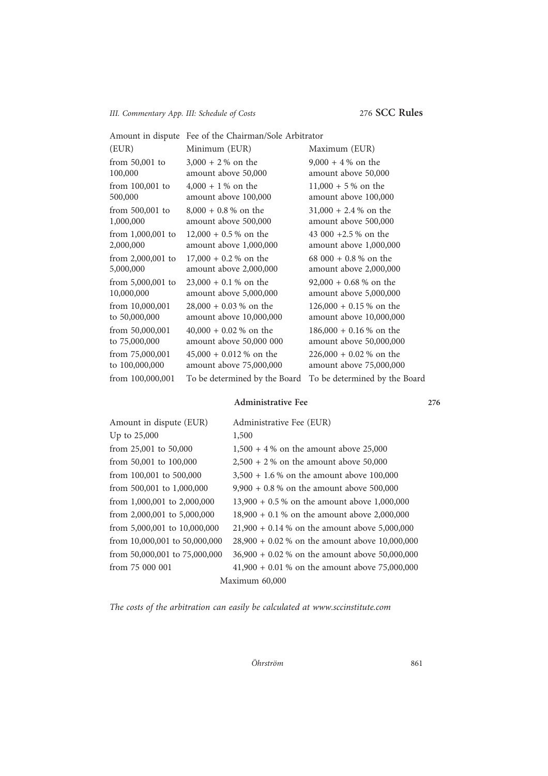# III. Commentary App. III: Schedule of Costs 276 SCC Rules

|                     | Amount in dispute Fee of the Chairman/Sole Arbitrator |                               |
|---------------------|-------------------------------------------------------|-------------------------------|
| (EUR)               | Minimum (EUR)                                         | Maximum (EUR)                 |
| from $50,001$ to    | $3,000 + 2%$ on the                                   | $9,000 + 4 %$ on the          |
| 100,000             | amount above 50,000                                   | amount above 50,000           |
| from 100,001 to     | $4,000 + 1\%$ on the                                  | $11,000 + 5%$ on the          |
| 500,000             | amount above 100,000                                  | amount above 100,000          |
| from 500,001 to     | $8,000 + 0.8 %$ on the                                | $31,000 + 2.4 %$ on the       |
| 1,000,000           | amount above 500,000                                  | amount above 500,000          |
| from 1,000,001 to   | $12,000 + 0.5 %$ on the                               | 43 000 $+2.5$ % on the        |
| 2,000,000           | amount above 1,000,000                                | amount above 1,000,000        |
| from 2,000,001 to   | $17,000 + 0.2 %$ on the                               | 68 000 + 0.8 % on the         |
| 5,000,000           | amount above 2,000,000                                | amount above 2,000,000        |
| from $5,000,001$ to | $23,000 + 0.1 %$ on the                               | $92,000 + 0.68$ % on the      |
| 10,000,000          | amount above 5,000,000                                | amount above 5,000,000        |
| from 10,000,001     | $28,000 + 0.03 %$ on the                              | $126,000 + 0.15\%$ on the     |
| to 50,000,000       | amount above 10,000,000                               | amount above 10,000,000       |
| from 50,000,001     | $40,000 + 0.02 %$ on the                              | $186,000 + 0.16 %$ on the     |
| to 75,000,000       | amount above 50,000 000                               | amount above 50,000,000       |
| from 75,000,001     | $45,000 + 0.012$ % on the                             | $226,000 + 0.02 %$ on the     |
| to 100,000,000      | amount above 75,000,000                               | amount above 75,000,000       |
| from 100,000,001    | To be determined by the Board                         | To be determined by the Board |
|                     |                                                       |                               |

# Administrative Fee 276

| Amount in dispute (EUR)         | Administrative Fee (EUR)                         |  |  |  |
|---------------------------------|--------------------------------------------------|--|--|--|
| Up to $25,000$                  | 1,500                                            |  |  |  |
| from $25,001$ to $50,000$       | $1,500 + 4$ % on the amount above 25,000         |  |  |  |
| from 50,001 to 100,000          | $2,500 + 2$ % on the amount above 50,000         |  |  |  |
| from 100,001 to 500,000         | $3,500 + 1.6\%$ on the amount above 100,000      |  |  |  |
| from 500,001 to 1,000,000       | $9,900 + 0.8$ % on the amount above 500,000      |  |  |  |
| from 1,000,001 to 2,000,000     | $13,900 + 0.5$ % on the amount above 1,000,000   |  |  |  |
| from $2,000,001$ to $5,000,000$ | $18,900 + 0.1$ % on the amount above 2,000,000   |  |  |  |
| from 5,000,001 to 10,000,000    | $21,900 + 0.14$ % on the amount above 5,000,000  |  |  |  |
| from 10,000,001 to 50,000,000   | $28,900 + 0.02$ % on the amount above 10,000,000 |  |  |  |
| from 50,000,001 to 75,000,000   | $36,900 + 0.02$ % on the amount above 50,000,000 |  |  |  |
| from 75 000 001                 | $41,900 + 0.01$ % on the amount above 75,000,000 |  |  |  |
| Maximum 60,000                  |                                                  |  |  |  |

The costs of the arbitration can easily be calculated at www.sccinstitute.com